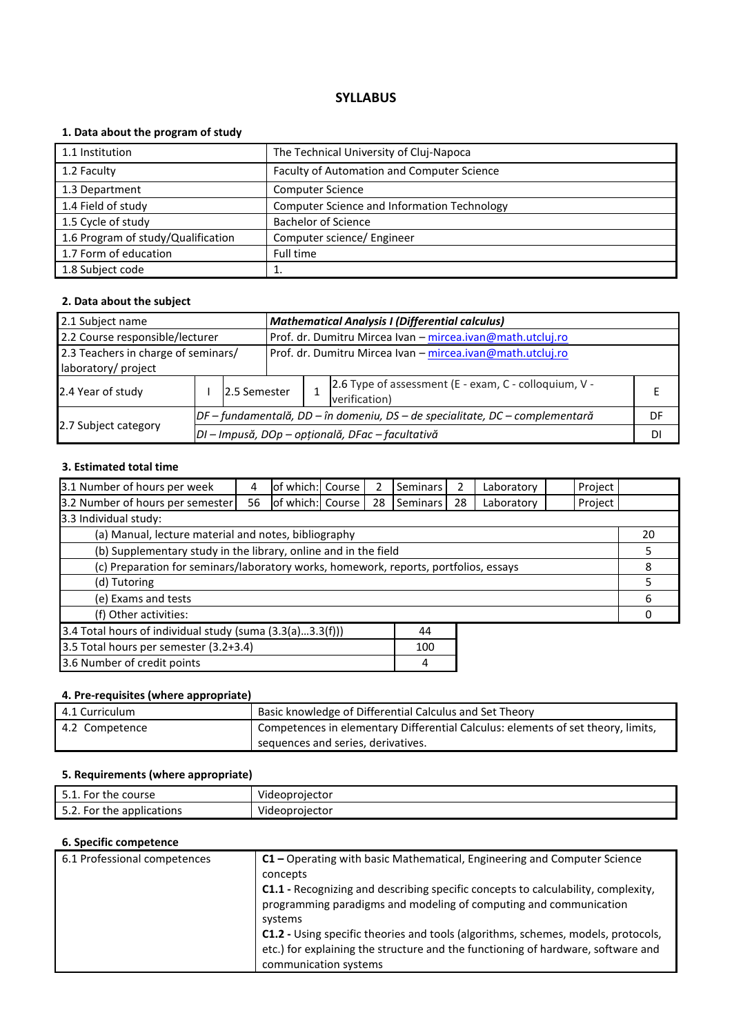# **1. Data about the program of study**

| 1.1 Institution                    | The Technical University of Cluj-Napoca            |
|------------------------------------|----------------------------------------------------|
| 1.2 Faculty                        | Faculty of Automation and Computer Science         |
| 1.3 Department                     | <b>Computer Science</b>                            |
| 1.4 Field of study                 | <b>Computer Science and Information Technology</b> |
| 1.5 Cycle of study                 | <b>Bachelor of Science</b>                         |
| 1.6 Program of study/Qualification | Computer science/ Engineer                         |
| 1.7 Form of education              | Full time                                          |
| 1.8 Subject code                   |                                                    |

#### **2. Data about the subject**

| <b>Mathematical Analysis I (Differential calculus)</b><br>2.1 Subject name                        |  |                                                                                |                                                                        |                                                  |    |  |
|---------------------------------------------------------------------------------------------------|--|--------------------------------------------------------------------------------|------------------------------------------------------------------------|--------------------------------------------------|----|--|
| 2.2 Course responsible/lecturer                                                                   |  |                                                                                | Prof. dr. Dumitru Mircea Ivan - mircea.ivan@math.utcluj.ro             |                                                  |    |  |
| 2.3 Teachers in charge of seminars/<br>Prof. dr. Dumitru Mircea Ivan - mircea.ivan@math.utcluj.ro |  |                                                                                |                                                                        |                                                  |    |  |
| laboratory/ project                                                                               |  |                                                                                |                                                                        |                                                  |    |  |
| 2.4 Year of study                                                                                 |  | 12.5 Semester                                                                  | 2.6 Type of assessment (E - exam, C - colloquium, V -<br>verification) |                                                  |    |  |
|                                                                                                   |  | $DF$ – fundamentală, DD – în domeniu, DS – de specialitate, DC – complementară |                                                                        | DF                                               |    |  |
| 2.7 Subject category                                                                              |  |                                                                                |                                                                        | DI - Impusă, DOp - opțională, DFac - facultativă | DI |  |

# **3. Estimated total time**

| 3.1 Number of hours per week                                                         | 4  | of which: Course |  |    | <b>Seminars</b> | 2  | Laboratory | Project |  |
|--------------------------------------------------------------------------------------|----|------------------|--|----|-----------------|----|------------|---------|--|
| 3.2 Number of hours per semester                                                     | 56 | of which: Course |  | 28 | Seminars        | 28 | Laboratory | Project |  |
| 3.3 Individual study:                                                                |    |                  |  |    |                 |    |            |         |  |
| (a) Manual, lecture material and notes, bibliography                                 |    |                  |  |    |                 | 20 |            |         |  |
| (b) Supplementary study in the library, online and in the field                      |    |                  |  |    |                 | 5  |            |         |  |
| (c) Preparation for seminars/laboratory works, homework, reports, portfolios, essays |    |                  |  |    | 8               |    |            |         |  |
| (d) Tutoring                                                                         |    |                  |  |    |                 | 5  |            |         |  |
| (e) Exams and tests                                                                  |    |                  |  |    |                 | 6  |            |         |  |
| (f) Other activities:                                                                |    |                  |  |    |                 |    |            |         |  |
| 3.4 Total hours of individual study (suma $(3.3(a)3.3(f)))$<br>44                    |    |                  |  |    |                 |    |            |         |  |
| 3.5 Total hours per semester (3.2+3.4)<br>100                                        |    |                  |  |    |                 |    |            |         |  |
| 3.6 Number of credit points                                                          |    |                  |  |    | 4               |    |            |         |  |

# **4. Pre-requisites (where appropriate)**

| 4.1 Curriculum | Basic knowledge of Differential Calculus and Set Theory                          |
|----------------|----------------------------------------------------------------------------------|
| 4.2 Competence | Competences in elementary Differential Calculus: elements of set theory, limits, |
|                | sequences and series, derivatives.                                               |

# **5. Requirements (where appropriate)**

| the course<br>٠or<br><u>.</u>         | .<br>Videoprojector        |
|---------------------------------------|----------------------------|
| -or<br>the applications. '<br><u></u> | $\cdots$<br>Videoprojector |

| 6.1 Professional competences | C1 - Operating with basic Mathematical, Engineering and Computer Science                 |
|------------------------------|------------------------------------------------------------------------------------------|
|                              | concepts                                                                                 |
|                              | C1.1 - Recognizing and describing specific concepts to calculability, complexity,        |
|                              | programming paradigms and modeling of computing and communication                        |
|                              | systems                                                                                  |
|                              | <b>C1.2</b> - Using specific theories and tools (algorithms, schemes, models, protocols, |
|                              | etc.) for explaining the structure and the functioning of hardware, software and         |
|                              | communication systems                                                                    |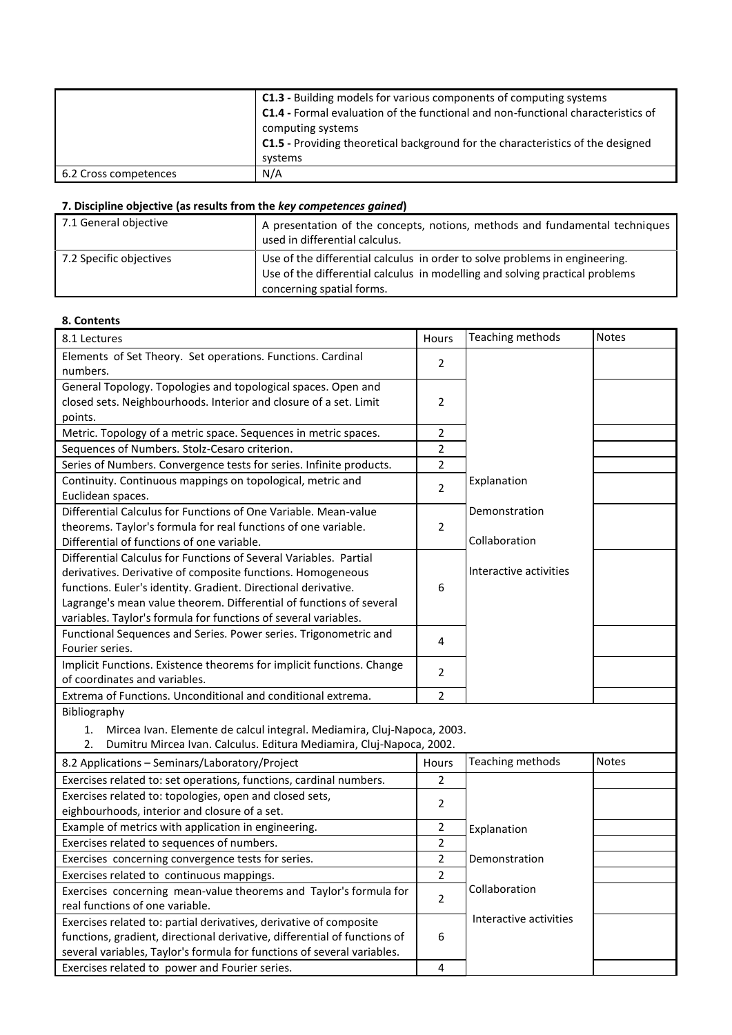|                       | <b>C1.3</b> - Building models for various components of computing systems<br><b>C1.4</b> - Formal evaluation of the functional and non-functional characteristics of<br>computing systems<br><b>C1.5</b> - Providing theoretical background for the characteristics of the designed<br>systems |
|-----------------------|------------------------------------------------------------------------------------------------------------------------------------------------------------------------------------------------------------------------------------------------------------------------------------------------|
| 6.2 Cross competences | N/A                                                                                                                                                                                                                                                                                            |

Exercises related to power and Fourier series.

| 7.1 General objective   | A presentation of the concepts, notions, methods and fundamental techniques<br>used in differential calculus.                                                                            |
|-------------------------|------------------------------------------------------------------------------------------------------------------------------------------------------------------------------------------|
| 7.2 Specific objectives | Use of the differential calculus in order to solve problems in engineering.<br>Use of the differential calculus in modelling and solving practical problems<br>concerning spatial forms. |

#### **8. Contents**

| 8.1 Lectures                                                                                                                                                                    | Hours          | Teaching methods               | <b>Notes</b> |
|---------------------------------------------------------------------------------------------------------------------------------------------------------------------------------|----------------|--------------------------------|--------------|
| Elements of Set Theory. Set operations. Functions. Cardinal<br>numbers.                                                                                                         | $\overline{2}$ |                                |              |
| General Topology. Topologies and topological spaces. Open and<br>closed sets. Neighbourhoods. Interior and closure of a set. Limit<br>points.                                   | $\overline{2}$ |                                |              |
| Metric. Topology of a metric space. Sequences in metric spaces.                                                                                                                 | $\overline{2}$ |                                |              |
| Sequences of Numbers. Stolz-Cesaro criterion.                                                                                                                                   | $\overline{2}$ |                                |              |
| Series of Numbers. Convergence tests for series. Infinite products.                                                                                                             | $\overline{2}$ |                                |              |
| Continuity. Continuous mappings on topological, metric and                                                                                                                      | $\overline{2}$ | Explanation                    |              |
| Euclidean spaces.                                                                                                                                                               |                |                                |              |
| Differential Calculus for Functions of One Variable. Mean-value<br>theorems. Taylor's formula for real functions of one variable.<br>Differential of functions of one variable. | $\overline{2}$ | Demonstration<br>Collaboration |              |
| Differential Calculus for Functions of Several Variables. Partial                                                                                                               |                |                                |              |
| derivatives. Derivative of composite functions. Homogeneous                                                                                                                     |                | Interactive activities         |              |
| functions. Euler's identity. Gradient. Directional derivative.                                                                                                                  | 6              |                                |              |
| Lagrange's mean value theorem. Differential of functions of several                                                                                                             |                |                                |              |
| variables. Taylor's formula for functions of several variables.                                                                                                                 |                |                                |              |
| Functional Sequences and Series. Power series. Trigonometric and                                                                                                                | 4              |                                |              |
| Fourier series.                                                                                                                                                                 |                |                                |              |
| Implicit Functions. Existence theorems for implicit functions. Change                                                                                                           | $\overline{2}$ |                                |              |
| of coordinates and variables.                                                                                                                                                   |                |                                |              |
| Extrema of Functions. Unconditional and conditional extrema.                                                                                                                    | $\overline{2}$ |                                |              |
| Bibliography                                                                                                                                                                    |                |                                |              |
| Mircea Ivan. Elemente de calcul integral. Mediamira, Cluj-Napoca, 2003.<br>1.                                                                                                   |                |                                |              |
| Dumitru Mircea Ivan. Calculus. Editura Mediamira, Cluj-Napoca, 2002.<br>2.                                                                                                      |                |                                |              |
| 8.2 Applications - Seminars/Laboratory/Project                                                                                                                                  | Hours          | Teaching methods               | <b>Notes</b> |
| Exercises related to: set operations, functions, cardinal numbers.                                                                                                              | $\overline{2}$ |                                |              |
| Exercises related to: topologies, open and closed sets,                                                                                                                         | $\overline{2}$ |                                |              |
| eighbourhoods, interior and closure of a set.                                                                                                                                   |                |                                |              |
| Example of metrics with application in engineering.                                                                                                                             |                | Explanation                    |              |
| Exercises related to sequences of numbers.                                                                                                                                      |                |                                |              |
| Exercises concerning convergence tests for series.                                                                                                                              | $\overline{2}$ | Demonstration                  |              |
| Exercises related to continuous mappings.                                                                                                                                       | $\overline{2}$ |                                |              |
| Exercises concerning mean-value theorems and Taylor's formula for                                                                                                               |                | Collaboration                  |              |
| real functions of one variable.                                                                                                                                                 | $\overline{2}$ |                                |              |
| Exercises related to: partial derivatives, derivative of composite                                                                                                              |                | Interactive activities         |              |
| functions, gradient, directional derivative, differential of functions of                                                                                                       | 6              |                                |              |
| several variables, Taylor's formula for functions of several variables.                                                                                                         |                |                                |              |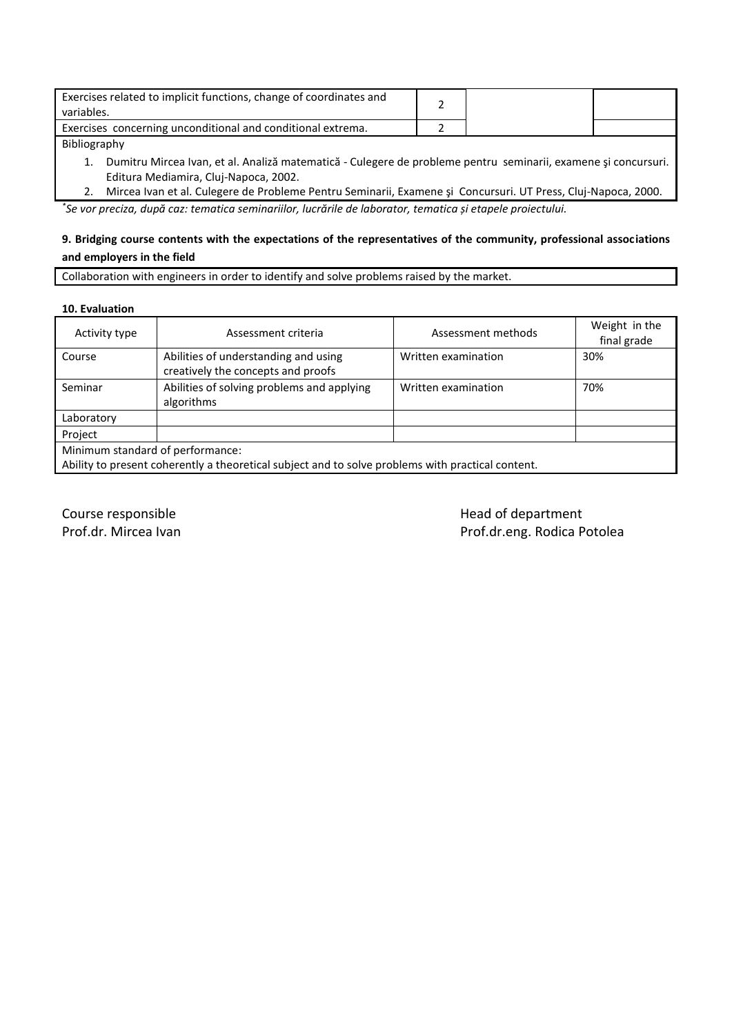| Exercises related to implicit functions, change of coordinates and<br>variables. |  |  |
|----------------------------------------------------------------------------------|--|--|
| Exercises concerning unconditional and conditional extrema.                      |  |  |
| - - - - -                                                                        |  |  |

#### Bibliography

1. Dumitru Mircea Ivan, et al. Analiză matematică - Culegere de probleme pentru seminarii, examene şi concursuri. Editura Mediamira, Cluj-Napoca, 2002.

2. Mircea Ivan et al. Culegere de Probleme Pentru Seminarii, Examene şi Concursuri. UT Press, Cluj-Napoca, 2000. *\* Se vor preciza, după caz: tematica seminariilor, lucrările de laborator, tematica și etapele proiectului.*

# **9. Bridging course contents with the expectations of the representatives of the community, professional associations and employers in the field**

Collaboration with engineers in order to identify and solve problems raised by the market.

#### **10. Evaluation**

| Activity type                                                                                                                         | Assessment criteria                                                        | Assessment methods  | Weight in the<br>final grade |  |
|---------------------------------------------------------------------------------------------------------------------------------------|----------------------------------------------------------------------------|---------------------|------------------------------|--|
| Course                                                                                                                                | Abilities of understanding and using<br>creatively the concepts and proofs | Written examination | 30%                          |  |
| Seminar                                                                                                                               | Abilities of solving problems and applying<br>algorithms                   | Written examination | 70%                          |  |
| Laboratory                                                                                                                            |                                                                            |                     |                              |  |
| Project                                                                                                                               |                                                                            |                     |                              |  |
| Minimum standard of performance:<br>Ability to present coherently a theoretical subject and to solve problems with practical content. |                                                                            |                     |                              |  |

Course responsible **Course and Course responsible** and Course responsible to the Head of department Prof.dr. Mircea Ivan **Prof.dr. Mircea Ivan**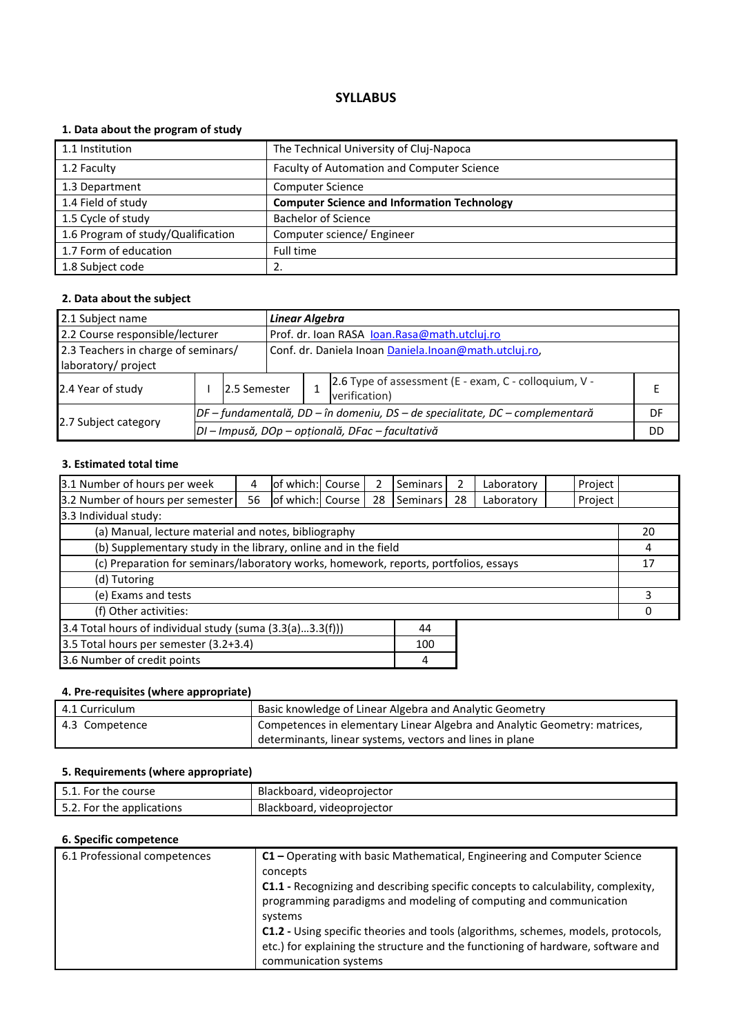# **1. Data about the program of study**

| 1.1 Institution                    | The Technical University of Cluj-Napoca            |
|------------------------------------|----------------------------------------------------|
| 1.2 Faculty                        | Faculty of Automation and Computer Science         |
| 1.3 Department                     | <b>Computer Science</b>                            |
| 1.4 Field of study                 | <b>Computer Science and Information Technology</b> |
| 1.5 Cycle of study                 | <b>Bachelor of Science</b>                         |
| 1.6 Program of study/Qualification | Computer science/ Engineer                         |
| 1.7 Form of education              | Full time                                          |
| 1.8 Subject code                   | 2.                                                 |

#### **2. Data about the subject**

| 2.1 Subject name                    |  |                                                                                | <b>Linear Algebra</b>                        |  |                                                                        |    |  |
|-------------------------------------|--|--------------------------------------------------------------------------------|----------------------------------------------|--|------------------------------------------------------------------------|----|--|
| 2.2 Course responsible/lecturer     |  |                                                                                | Prof. dr. Ioan RASA Ioan.Rasa@math.utcluj.ro |  |                                                                        |    |  |
| 2.3 Teachers in charge of seminars/ |  | Conf. dr. Daniela Inoan Daniela.Inoan@math.utcluj.ro,                          |                                              |  |                                                                        |    |  |
| laboratory/ project                 |  |                                                                                |                                              |  |                                                                        |    |  |
| 2.4 Year of study                   |  | 2.5 Semester                                                                   |                                              |  | 2.6 Type of assessment (E - exam, C - colloquium, V -<br>verification) |    |  |
|                                     |  | $DF$ – fundamentală, DD – în domeniu, DS – de specialitate, DC – complementară |                                              |  |                                                                        | DF |  |
| 2.7 Subject category                |  | DI - Impusă, DOp - opțională, DFac - facultativă                               |                                              |  |                                                                        |    |  |

# **3. Estimated total time**

| 3.1 Number of hours per week                                                         | 4  | of which: Course |  |    | <b>Seminars</b> | 2  | Laboratory | Project |    |
|--------------------------------------------------------------------------------------|----|------------------|--|----|-----------------|----|------------|---------|----|
| 3.2 Number of hours per semester                                                     | 56 | of which: Course |  | 28 | Seminars        | 28 | Laboratory | Project |    |
| 3.3 Individual study:                                                                |    |                  |  |    |                 |    |            |         |    |
| (a) Manual, lecture material and notes, bibliography                                 |    |                  |  |    |                 |    |            |         | 20 |
| (b) Supplementary study in the library, online and in the field                      |    |                  |  |    | 4               |    |            |         |    |
| (c) Preparation for seminars/laboratory works, homework, reports, portfolios, essays |    |                  |  |    | 17              |    |            |         |    |
| (d) Tutoring                                                                         |    |                  |  |    |                 |    |            |         |    |
| (e) Exams and tests                                                                  |    |                  |  |    |                 | 3  |            |         |    |
| (f) Other activities:                                                                |    |                  |  |    |                 |    |            |         |    |
| 3.4 Total hours of individual study (suma (3.3(a)3.3(f)))<br>44                      |    |                  |  |    |                 |    |            |         |    |
| 3.5 Total hours per semester (3.2+3.4)<br>100                                        |    |                  |  |    |                 |    |            |         |    |
|                                                                                      |    |                  |  |    |                 |    |            |         |    |

3.6 Number of credit points and the set of the set of the set of the set of the set of the set of the set of the set of the set of the set of the set of the set of the set of the set of the set of the set of the set of the

# **4. Pre-requisites (where appropriate)**

| 4.1 Curriculum | Basic knowledge of Linear Algebra and Analytic Geometry                   |
|----------------|---------------------------------------------------------------------------|
| 4.3 Competence | Competences in elementary Linear Algebra and Analytic Geometry: matrices, |
|                | determinants, linear systems, vectors and lines in plane                  |

### **5. Requirements (where appropriate)**

| : course<br>the<br>For<br>.            | Blackboard.<br>. videoproiector |
|----------------------------------------|---------------------------------|
| the applications. *<br>For<br>. ــ . د | Blackboard,<br>videoprojector   |

| 6.1 Professional competences | C1 - Operating with basic Mathematical, Engineering and Computer Science                                                                                      |
|------------------------------|---------------------------------------------------------------------------------------------------------------------------------------------------------------|
|                              | concepts                                                                                                                                                      |
|                              | <b>C1.1</b> - Recognizing and describing specific concepts to calculability, complexity,<br>programming paradigms and modeling of computing and communication |
|                              | systems                                                                                                                                                       |
|                              | <b>C1.2</b> - Using specific theories and tools (algorithms, schemes, models, protocols,                                                                      |
|                              | etc.) for explaining the structure and the functioning of hardware, software and                                                                              |
|                              | communication systems                                                                                                                                         |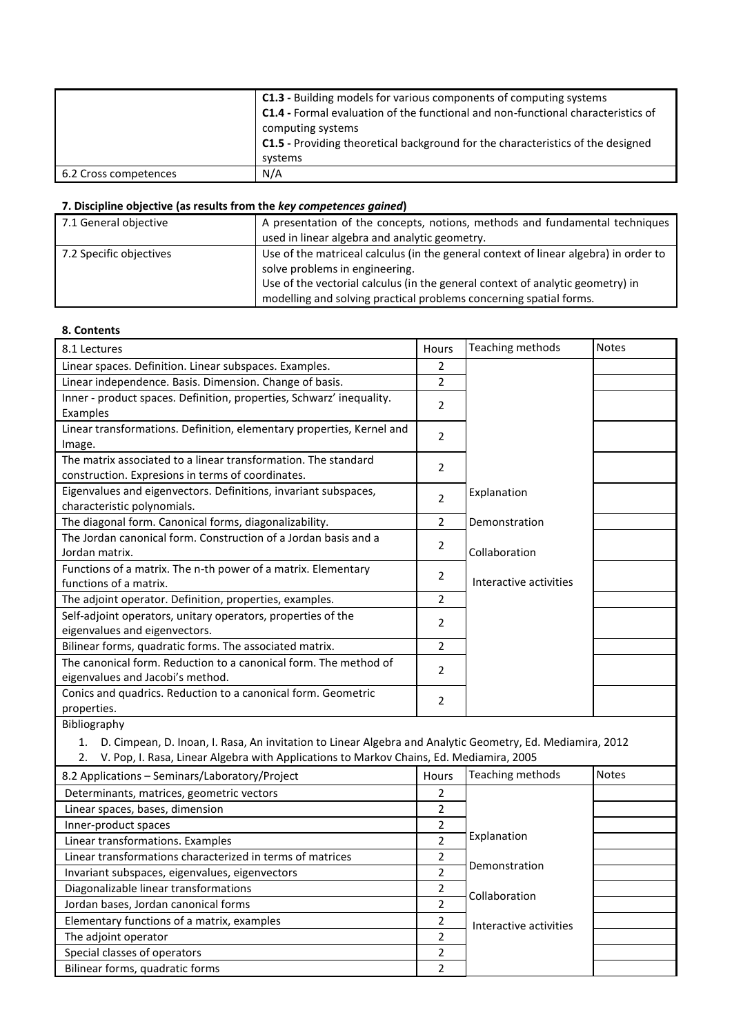|                       | <b>C1.3</b> - Building models for various components of computing systems<br><b>C1.4 - Formal evaluation of the functional and non-functional characteristics of</b><br>computing systems<br><b>C1.5</b> - Providing theoretical background for the characteristics of the designed<br>systems |
|-----------------------|------------------------------------------------------------------------------------------------------------------------------------------------------------------------------------------------------------------------------------------------------------------------------------------------|
| 6.2 Cross competences | N/A                                                                                                                                                                                                                                                                                            |

| 7.1 General objective   | A presentation of the concepts, notions, methods and fundamental techniques<br>used in linear algebra and analytic geometry.                                                                                                                                                   |
|-------------------------|--------------------------------------------------------------------------------------------------------------------------------------------------------------------------------------------------------------------------------------------------------------------------------|
| 7.2 Specific objectives | Use of the matriceal calculus (in the general context of linear algebra) in order to<br>solve problems in engineering.<br>Use of the vectorial calculus (in the general context of analytic geometry) in<br>modelling and solving practical problems concerning spatial forms. |

# **8. Contents**

| 8.1 Lectures                                                          | Hours          | Teaching methods       | <b>Notes</b> |
|-----------------------------------------------------------------------|----------------|------------------------|--------------|
| Linear spaces. Definition. Linear subspaces. Examples.                | 2              |                        |              |
| Linear independence. Basis. Dimension. Change of basis.               | $\overline{2}$ |                        |              |
| Inner - product spaces. Definition, properties, Schwarz' inequality.  | 2              |                        |              |
| Examples                                                              |                |                        |              |
| Linear transformations. Definition, elementary properties, Kernel and | $\overline{2}$ |                        |              |
| Image.                                                                |                |                        |              |
| The matrix associated to a linear transformation. The standard        | $\overline{2}$ |                        |              |
| construction. Expresions in terms of coordinates.                     |                |                        |              |
| Eigenvalues and eigenvectors. Definitions, invariant subspaces,       | $\overline{2}$ | Explanation            |              |
| characteristic polynomials.                                           |                |                        |              |
| The diagonal form. Canonical forms, diagonalizability.                | 2              | Demonstration          |              |
| The Jordan canonical form. Construction of a Jordan basis and a       | 2              |                        |              |
| Jordan matrix.                                                        |                | Collaboration          |              |
| Functions of a matrix. The n-th power of a matrix. Elementary         | 2              |                        |              |
| functions of a matrix.                                                |                | Interactive activities |              |
| The adjoint operator. Definition, properties, examples.               | 2              |                        |              |
| Self-adjoint operators, unitary operators, properties of the          | $\overline{2}$ |                        |              |
| eigenvalues and eigenvectors.                                         |                |                        |              |
| Bilinear forms, quadratic forms. The associated matrix.               | $\overline{2}$ |                        |              |
| The canonical form. Reduction to a canonical form. The method of      | $\overline{2}$ |                        |              |
| eigenvalues and Jacobi's method.                                      |                |                        |              |
| Conics and quadrics. Reduction to a canonical form. Geometric         | $\overline{2}$ |                        |              |
| properties.                                                           |                |                        |              |
| Dibliography                                                          |                |                        |              |

Bibliography

1. D. Cimpean, D. Inoan, I. Rasa, An invitation to Linear Algebra and Analytic Geometry, Ed. Mediamira, 2012

2. V. Pop, I. Rasa, Linear Algebra with Applications to Markov Chains, Ed. Mediamira, 2005

| 8.2 Applications - Seminars/Laboratory/Project            | Hours                    | Teaching methods       | <b>Notes</b> |
|-----------------------------------------------------------|--------------------------|------------------------|--------------|
| Determinants, matrices, geometric vectors                 | 2                        |                        |              |
| Linear spaces, bases, dimension                           | 2                        |                        |              |
| Inner-product spaces                                      | $\overline{2}$           |                        |              |
| Linear transformations. Examples                          | າ                        | Explanation            |              |
| Linear transformations characterized in terms of matrices | 2                        |                        |              |
| Invariant subspaces, eigenvalues, eigenvectors            | $\mathfrak{p}$           | Demonstration          |              |
| Diagonalizable linear transformations                     | 2                        | Collaboration          |              |
| Jordan bases, Jordan canonical forms                      | $\mathfrak z$            |                        |              |
| Elementary functions of a matrix, examples                | $\overline{2}$           | Interactive activities |              |
| The adjoint operator                                      | $\overline{2}$           |                        |              |
| Special classes of operators                              | $\overline{\phantom{a}}$ |                        |              |
| Bilinear forms, quadratic forms                           | $\mathfrak{p}$           |                        |              |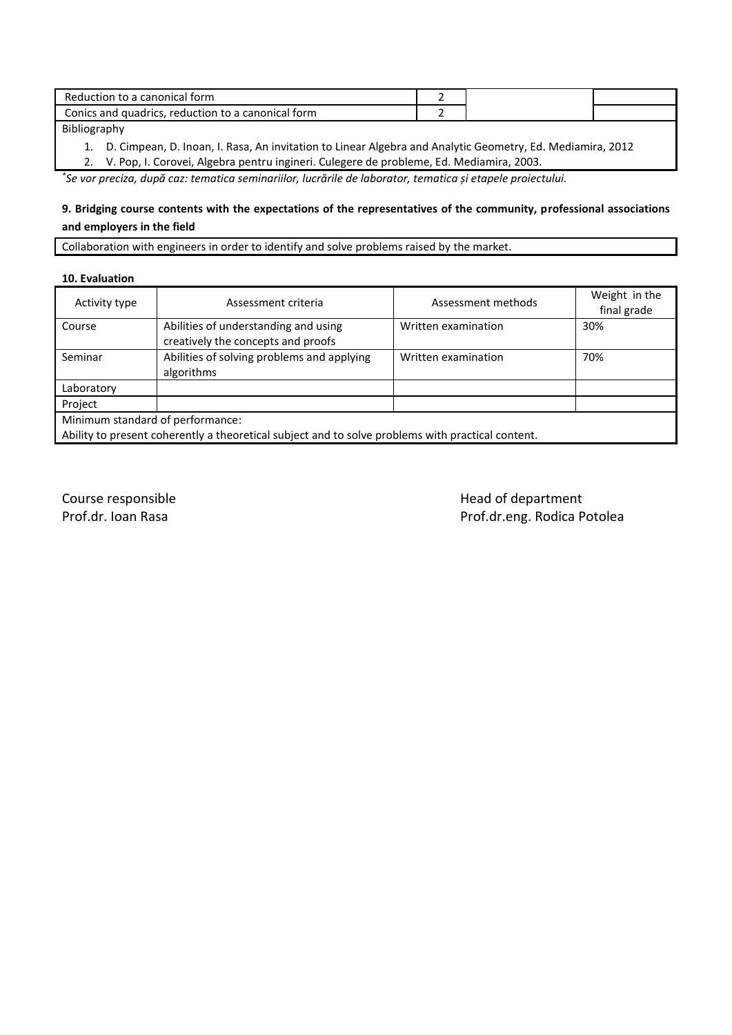| Reduction to a canonical form                      |  |  |
|----------------------------------------------------|--|--|
| Conics and quadrics, reduction to a canonical form |  |  |
| .                                                  |  |  |

Bibliography

1. D. Cimpean, D. Inoan, I. Rasa, An invitation to Linear Algebra and Analytic Geometry, Ed. Mediamira, 2012

2. V. Pop, I. Corovei, Algebra pentru ingineri. Culegere de probleme, Ed. Mediamira, 2003.

*\* Se vor preciza, după caz: tematica seminariilor, lucrările de laborator, tematica și etapele proiectului.*

# **9. Bridging course contents with the expectations of the representatives of the community, professional associations and employers in the field**

Collaboration with engineers in order to identify and solve problems raised by the market.

#### **10. Evaluation**

| Activity type                                                                                     | Assessment criteria                                                        | Assessment methods  | Weight in the<br>final grade |  |
|---------------------------------------------------------------------------------------------------|----------------------------------------------------------------------------|---------------------|------------------------------|--|
| Course                                                                                            | Abilities of understanding and using<br>creatively the concepts and proofs | Written examination | 30%                          |  |
| Seminar                                                                                           | Abilities of solving problems and applying<br>algorithms                   | Written examination | 70%                          |  |
| Laboratory                                                                                        |                                                                            |                     |                              |  |
| Project                                                                                           |                                                                            |                     |                              |  |
| Minimum standard of performance:                                                                  |                                                                            |                     |                              |  |
| Ability to present coherently a theoretical subject and to solve problems with practical content. |                                                                            |                     |                              |  |

Course responsible department

Prof.dr. Ioan Rasa **Prof.dr. Ioan Rasa** Prof.dr.eng. Rodica Potolea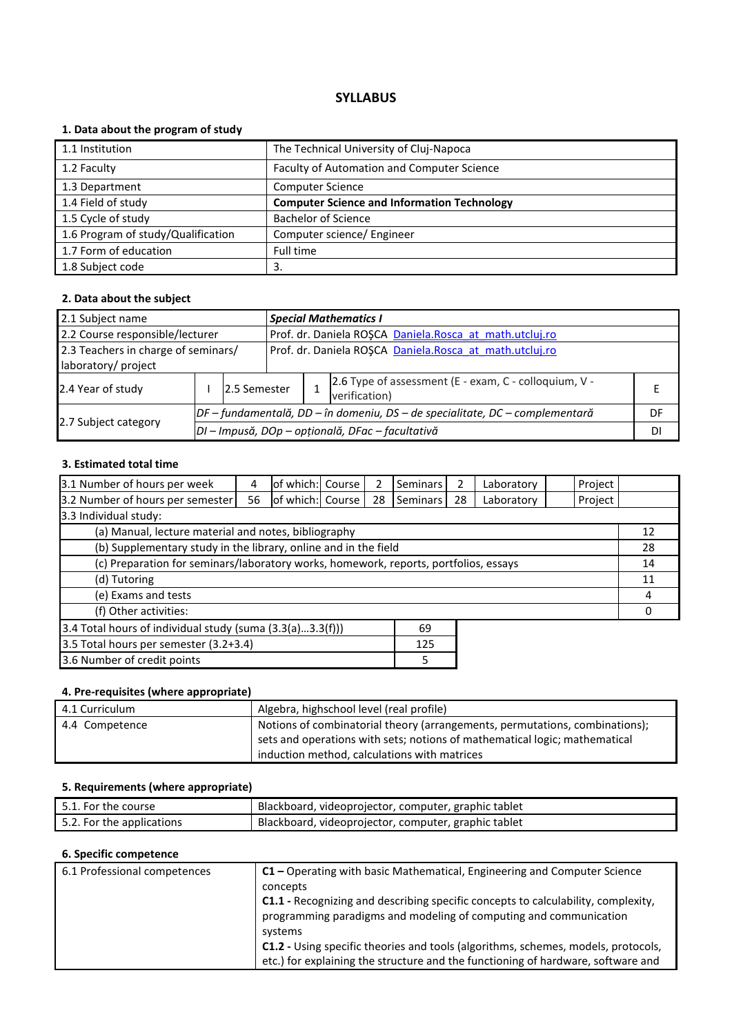# **1. Data about the program of study**

| 1.1 Institution                    | The Technical University of Cluj-Napoca            |
|------------------------------------|----------------------------------------------------|
| 1.2 Faculty                        | Faculty of Automation and Computer Science         |
| 1.3 Department                     | <b>Computer Science</b>                            |
| 1.4 Field of study                 | <b>Computer Science and Information Technology</b> |
| 1.5 Cycle of study                 | <b>Bachelor of Science</b>                         |
| 1.6 Program of study/Qualification | Computer science/ Engineer                         |
| 1.7 Form of education              | Full time                                          |
| 1.8 Subject code                   | 3.                                                 |

#### **2. Data about the subject**

| 2.1 Subject name                    |  |                                                                                |                                                         | <b>Special Mathematics I</b>                            |                                                                        |    |  |  |
|-------------------------------------|--|--------------------------------------------------------------------------------|---------------------------------------------------------|---------------------------------------------------------|------------------------------------------------------------------------|----|--|--|
| 2.2 Course responsible/lecturer     |  |                                                                                |                                                         | Prof. dr. Daniela ROŞCA Daniela.Rosca at math.utcluj.ro |                                                                        |    |  |  |
| 2.3 Teachers in charge of seminars/ |  |                                                                                | Prof. dr. Daniela ROȘCA Daniela.Rosca at math.utcluj.ro |                                                         |                                                                        |    |  |  |
| laboratory/ project                 |  |                                                                                |                                                         |                                                         |                                                                        |    |  |  |
| 2.4 Year of study                   |  | 2.5 Semester                                                                   |                                                         |                                                         | 2.6 Type of assessment (E - exam, C - colloquium, V -<br>verification) |    |  |  |
|                                     |  | $DF$ – fundamentală, DD – în domeniu, DS – de specialitate, DC – complementară |                                                         |                                                         |                                                                        | DF |  |  |
| 2.7 Subject category                |  | DI - Impusă, DOp - opțională, DFac - facultativă                               |                                                         |                                                         |                                                                        |    |  |  |

# **3. Estimated total time**

| 3.1 Number of hours per week                                                         | 4  | of which: Course |  |    | <b>Seminars</b> | 2  | Laboratory | Project |    |
|--------------------------------------------------------------------------------------|----|------------------|--|----|-----------------|----|------------|---------|----|
| 3.2 Number of hours per semester                                                     | 56 | of which: Course |  | 28 | Seminars        | 28 | Laboratory | Project |    |
| 3.3 Individual study:                                                                |    |                  |  |    |                 |    |            |         |    |
| (a) Manual, lecture material and notes, bibliography                                 |    |                  |  |    |                 |    |            |         | 12 |
| (b) Supplementary study in the library, online and in the field                      |    |                  |  |    |                 |    |            |         | 28 |
| (c) Preparation for seminars/laboratory works, homework, reports, portfolios, essays |    |                  |  |    |                 |    | 14         |         |    |
| (d) Tutoring                                                                         |    |                  |  |    |                 |    |            | 11      |    |
| (e) Exams and tests                                                                  |    |                  |  |    |                 |    | 4          |         |    |
| (f) Other activities:                                                                |    |                  |  |    |                 |    |            |         |    |
| 3.4 Total hours of individual study (suma (3.3(a)3.3(f)))<br>69                      |    |                  |  |    |                 |    |            |         |    |
| 3.5 Total hours per semester (3.2+3.4)<br>125                                        |    |                  |  |    |                 |    |            |         |    |
|                                                                                      |    |                  |  |    |                 |    |            |         |    |

3.6 Number of credit points 5 and 5 and 5 and 5 and 5 and 5 and 5 and 5 and 5 and 5 and 5 and 5 and 5 and 5 and 5 and 5 and 5 and 5 and 5 and 5 and 5 and 5 and 5 and 5 and 5 and 5 and 5 and 5 and 5 and 5 and 5 and 5 and 5

# **4. Pre-requisites (where appropriate)**

| 4.1 Curriculum | Algebra, highschool level (real profile)                                    |
|----------------|-----------------------------------------------------------------------------|
| 4.4 Competence | Notions of combinatorial theory (arrangements, permutations, combinations); |
|                | sets and operations with sets; notions of mathematical logic; mathematical  |
|                | induction method, calculations with matrices                                |

### **5. Requirements (where appropriate)**

| $\mathsf I$ 5.1. For the course $\mathsf I$ | Blackboard, videoprojector, computer, graphic tablet |
|---------------------------------------------|------------------------------------------------------|
| 5.2. For the applications                   | Blackboard, videoprojector, computer, graphic tablet |

| 6.1 Professional competences | C1 - Operating with basic Mathematical, Engineering and Computer Science                 |  |  |  |
|------------------------------|------------------------------------------------------------------------------------------|--|--|--|
|                              | concepts                                                                                 |  |  |  |
|                              | C1.1 - Recognizing and describing specific concepts to calculability, complexity,        |  |  |  |
|                              | programming paradigms and modeling of computing and communication                        |  |  |  |
|                              | systems                                                                                  |  |  |  |
|                              | <b>C1.2</b> - Using specific theories and tools (algorithms, schemes, models, protocols, |  |  |  |
|                              | etc.) for explaining the structure and the functioning of hardware, software and         |  |  |  |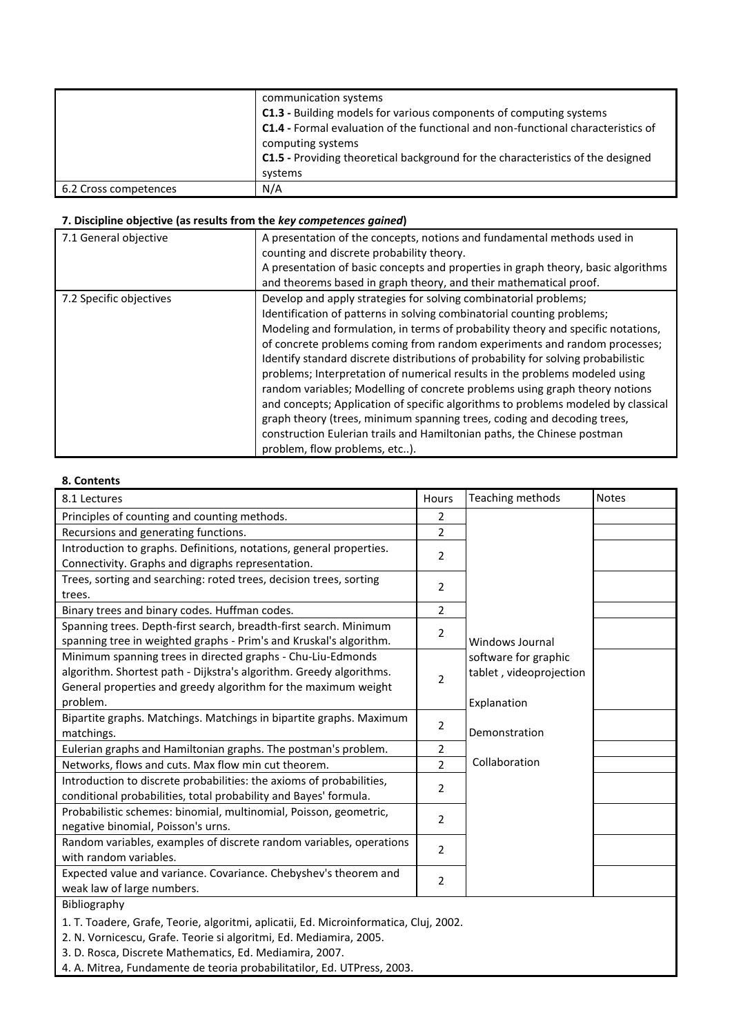|                       | communication systems<br>C1.3 - Building models for various components of computing systems<br><b>C1.4 - Formal evaluation of the functional and non-functional characteristics of</b><br>computing systems<br><b>C1.5</b> - Providing theoretical background for the characteristics of the designed<br>systems |
|-----------------------|------------------------------------------------------------------------------------------------------------------------------------------------------------------------------------------------------------------------------------------------------------------------------------------------------------------|
| 6.2 Cross competences | N/A                                                                                                                                                                                                                                                                                                              |

| 7.1 General objective   | A presentation of the concepts, notions and fundamental methods used in<br>counting and discrete probability theory.<br>A presentation of basic concepts and properties in graph theory, basic algorithms<br>and theorems based in graph theory, and their mathematical proof.                                                                                                                                                                                                                                                                                                                                                                                                                                                                                                                                                             |
|-------------------------|--------------------------------------------------------------------------------------------------------------------------------------------------------------------------------------------------------------------------------------------------------------------------------------------------------------------------------------------------------------------------------------------------------------------------------------------------------------------------------------------------------------------------------------------------------------------------------------------------------------------------------------------------------------------------------------------------------------------------------------------------------------------------------------------------------------------------------------------|
| 7.2 Specific objectives | Develop and apply strategies for solving combinatorial problems;<br>Identification of patterns in solving combinatorial counting problems;<br>Modeling and formulation, in terms of probability theory and specific notations,<br>of concrete problems coming from random experiments and random processes;<br>Identify standard discrete distributions of probability for solving probabilistic<br>problems; Interpretation of numerical results in the problems modeled using<br>random variables; Modelling of concrete problems using graph theory notions<br>and concepts; Application of specific algorithms to problems modeled by classical<br>graph theory (trees, minimum spanning trees, coding and decoding trees,<br>construction Eulerian trails and Hamiltonian paths, the Chinese postman<br>problem, flow problems, etc). |

### **8. Contents**

| 8.1 Lectures                                                                          | Hours          | Teaching methods        | <b>Notes</b> |
|---------------------------------------------------------------------------------------|----------------|-------------------------|--------------|
| Principles of counting and counting methods.                                          | $\overline{2}$ |                         |              |
| Recursions and generating functions.                                                  | $\overline{2}$ |                         |              |
| Introduction to graphs. Definitions, notations, general properties.                   | 2              |                         |              |
| Connectivity. Graphs and digraphs representation.                                     |                |                         |              |
| Trees, sorting and searching: roted trees, decision trees, sorting                    | 2              |                         |              |
| trees.                                                                                |                |                         |              |
| Binary trees and binary codes. Huffman codes.                                         | $\overline{2}$ |                         |              |
| Spanning trees. Depth-first search, breadth-first search. Minimum                     | 2              |                         |              |
| spanning tree in weighted graphs - Prim's and Kruskal's algorithm.                    |                | Windows Journal         |              |
| Minimum spanning trees in directed graphs - Chu-Liu-Edmonds                           |                | software for graphic    |              |
| algorithm. Shortest path - Dijkstra's algorithm. Greedy algorithms.                   | $\overline{2}$ | tablet, videoprojection |              |
| General properties and greedy algorithm for the maximum weight                        |                |                         |              |
| problem.                                                                              |                | Explanation             |              |
| Bipartite graphs. Matchings. Matchings in bipartite graphs. Maximum                   | 2              |                         |              |
| matchings.                                                                            |                | Demonstration           |              |
| Eulerian graphs and Hamiltonian graphs. The postman's problem.                        | 2              |                         |              |
| Networks, flows and cuts. Max flow min cut theorem.                                   | $\overline{2}$ | Collaboration           |              |
| Introduction to discrete probabilities: the axioms of probabilities,                  | 2              |                         |              |
| conditional probabilities, total probability and Bayes' formula.                      |                |                         |              |
| Probabilistic schemes: binomial, multinomial, Poisson, geometric,                     | 2              |                         |              |
| negative binomial, Poisson's urns.                                                    |                |                         |              |
| Random variables, examples of discrete random variables, operations                   | 2              |                         |              |
| with random variables.                                                                |                |                         |              |
| Expected value and variance. Covariance. Chebyshev's theorem and                      | 2              |                         |              |
| weak law of large numbers.                                                            |                |                         |              |
| Bibliography                                                                          |                |                         |              |
| 1. T. Toadere, Grafe, Teorie, algoritmi, aplicatii, Ed. Microinformatica, Cluj, 2002. |                |                         |              |
| 2. N. Vornicescu, Grafe. Teorie si algoritmi, Ed. Mediamira, 2005.                    |                |                         |              |
| 3. D. Rosca, Discrete Mathematics, Ed. Mediamira, 2007.                               |                |                         |              |

4. A. Mitrea, Fundamente de teoria probabilitatilor, Ed. UTPress, 2003.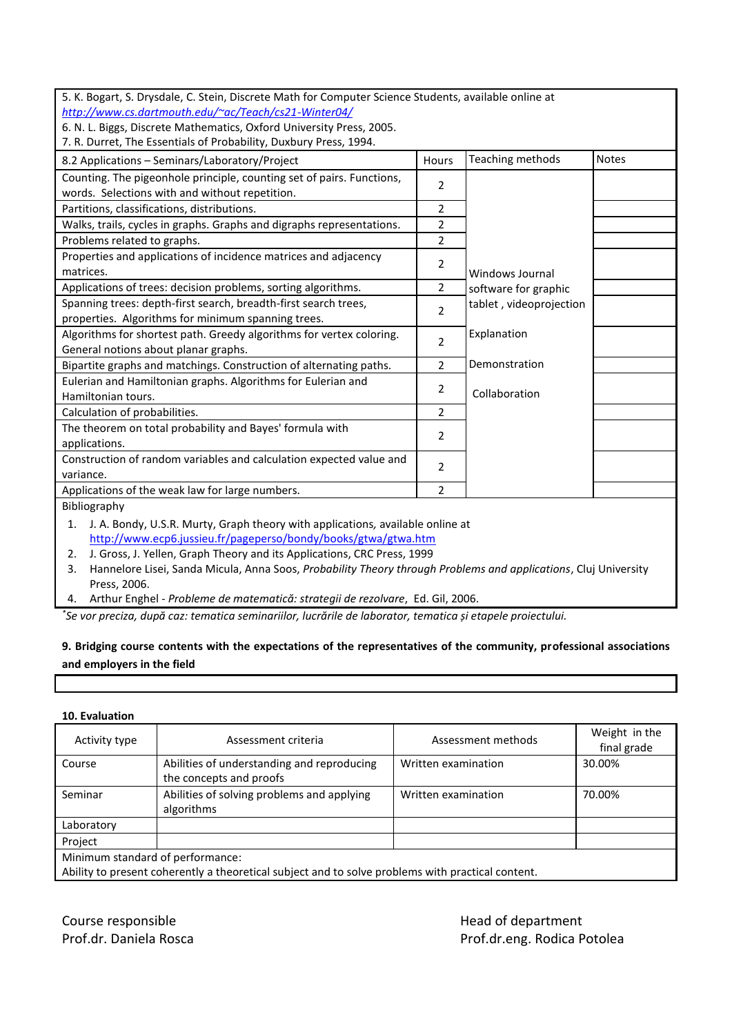| 5. K. Bogart, S. Drysdale, C. Stein, Discrete Math for Computer Science Students, available online at |                |                         |              |  |  |  |  |
|-------------------------------------------------------------------------------------------------------|----------------|-------------------------|--------------|--|--|--|--|
| http://www.cs.dartmouth.edu/~ac/Teach/cs21-Winter04/                                                  |                |                         |              |  |  |  |  |
| 6. N. L. Biggs, Discrete Mathematics, Oxford University Press, 2005.                                  |                |                         |              |  |  |  |  |
| 7. R. Durret, The Essentials of Probability, Duxbury Press, 1994.                                     |                |                         |              |  |  |  |  |
|                                                                                                       |                | Teaching methods        | <b>Notes</b> |  |  |  |  |
| 8.2 Applications - Seminars/Laboratory/Project                                                        | Hours          |                         |              |  |  |  |  |
| Counting. The pigeonhole principle, counting set of pairs. Functions,                                 | $\overline{2}$ |                         |              |  |  |  |  |
| words. Selections with and without repetition.                                                        |                |                         |              |  |  |  |  |
| Partitions, classifications, distributions.                                                           | 2              |                         |              |  |  |  |  |
| Walks, trails, cycles in graphs. Graphs and digraphs representations.                                 | 2              |                         |              |  |  |  |  |
| Problems related to graphs.                                                                           | $\overline{2}$ |                         |              |  |  |  |  |
| Properties and applications of incidence matrices and adjacency                                       |                |                         |              |  |  |  |  |
| matrices.                                                                                             | 2              | <b>Windows Journal</b>  |              |  |  |  |  |
| Applications of trees: decision problems, sorting algorithms.                                         | 2              | software for graphic    |              |  |  |  |  |
| Spanning trees: depth-first search, breadth-first search trees,                                       |                | tablet, videoprojection |              |  |  |  |  |
| properties. Algorithms for minimum spanning trees.                                                    | $\overline{2}$ |                         |              |  |  |  |  |
| Algorithms for shortest path. Greedy algorithms for vertex coloring.                                  | 2              | Explanation             |              |  |  |  |  |
| General notions about planar graphs.                                                                  |                |                         |              |  |  |  |  |
| Bipartite graphs and matchings. Construction of alternating paths.                                    | 2              | Demonstration           |              |  |  |  |  |
| Eulerian and Hamiltonian graphs. Algorithms for Eulerian and                                          | 2              |                         |              |  |  |  |  |
| Hamiltonian tours.                                                                                    |                | Collaboration           |              |  |  |  |  |
| Calculation of probabilities.                                                                         | 2              |                         |              |  |  |  |  |
| The theorem on total probability and Bayes' formula with                                              | 2              |                         |              |  |  |  |  |
| applications.                                                                                         |                |                         |              |  |  |  |  |
| Construction of random variables and calculation expected value and                                   | 2              |                         |              |  |  |  |  |
| variance.                                                                                             |                |                         |              |  |  |  |  |
| Applications of the weak law for large numbers.                                                       | 2              |                         |              |  |  |  |  |
| Bibliography                                                                                          |                |                         |              |  |  |  |  |
| J. A. Bondy, U.S.R. Murty, Graph theory with applications, available online at<br>1.                  |                |                         |              |  |  |  |  |
| http://www.ecp6.jussieu.fr/pageperso/bondy/books/gtwa/gtwa.htm                                        |                |                         |              |  |  |  |  |
| J. Gross, J. Yellen, Graph Theory and its Applications, CRC Press, 1999<br>2.                         |                |                         |              |  |  |  |  |

3. Hannelore Lisei, Sanda Micula, Anna Soos, *Probability Theory through Problems and applications*, Cluj University Press, 2006.

4. Arthur Enghel - *Probleme de matematică: strategii de rezolvare*, Ed. Gil, 2006.

*\* Se vor preciza, după caz: tematica seminariilor, lucrările de laborator, tematica și etapele proiectului.*

# **9. Bridging course contents with the expectations of the representatives of the community, professional associations and employers in the field**

### **10. Evaluation**

| Activity type                                                                                                                         | Assessment criteria                                                   | Assessment methods  | Weight in the<br>final grade |  |  |
|---------------------------------------------------------------------------------------------------------------------------------------|-----------------------------------------------------------------------|---------------------|------------------------------|--|--|
| Course                                                                                                                                | Abilities of understanding and reproducing<br>the concepts and proofs | Written examination | 30.00%                       |  |  |
| Seminar                                                                                                                               | Abilities of solving problems and applying<br>algorithms              | Written examination | 70.00%                       |  |  |
| Laboratory                                                                                                                            |                                                                       |                     |                              |  |  |
| Project                                                                                                                               |                                                                       |                     |                              |  |  |
| Minimum standard of performance:<br>Ability to present coherently a theoretical subject and to solve problems with practical content. |                                                                       |                     |                              |  |  |

Course responsible **Course responsible Head of department** 

Prof.dr. Daniela Rosca **Prof.dr. Prof.dr.eng. Rodica Potolea**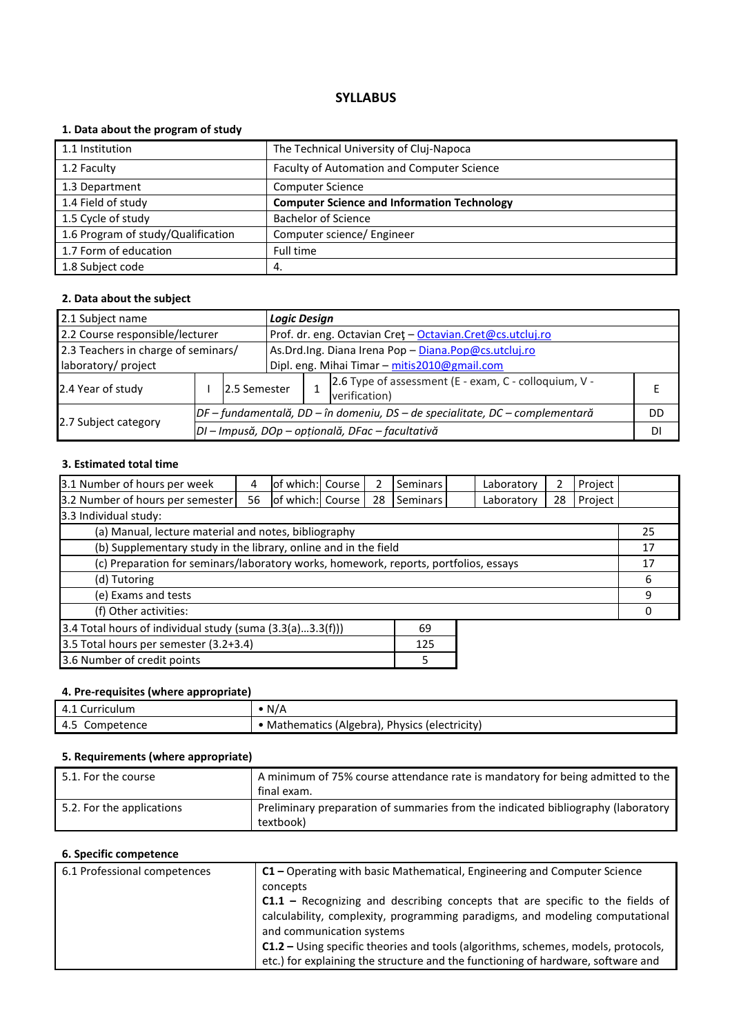# **1. Data about the program of study**

| 1.1 Institution                    | The Technical University of Cluj-Napoca            |
|------------------------------------|----------------------------------------------------|
| 1.2 Faculty                        | Faculty of Automation and Computer Science         |
| 1.3 Department                     | <b>Computer Science</b>                            |
| 1.4 Field of study                 | <b>Computer Science and Information Technology</b> |
| 1.5 Cycle of study                 | <b>Bachelor of Science</b>                         |
| 1.6 Program of study/Qualification | Computer science/ Engineer                         |
| 1.7 Form of education              | Full time                                          |
| 1.8 Subject code                   | 4.                                                 |

#### **2. Data about the subject**

| 2.1 Subject name                    |                                                  |              |                                                                                | <b>Logic Design</b>                                       |                                                                        |    |  |  |
|-------------------------------------|--------------------------------------------------|--------------|--------------------------------------------------------------------------------|-----------------------------------------------------------|------------------------------------------------------------------------|----|--|--|
| 2.2 Course responsible/lecturer     |                                                  |              |                                                                                | Prof. dr. eng. Octavian Cret - Octavian.Cret@cs.utcluj.ro |                                                                        |    |  |  |
| 2.3 Teachers in charge of seminars/ |                                                  |              |                                                                                | As.Drd.Ing. Diana Irena Pop - Diana.Pop@cs.utcluj.ro      |                                                                        |    |  |  |
| laboratory/ project                 |                                                  |              |                                                                                | Dipl. eng. Mihai Timar - mitis2010@gmail.com              |                                                                        |    |  |  |
| 2.4 Year of study                   |                                                  | 2.5 Semester |                                                                                |                                                           | 2.6 Type of assessment (E - exam, C - colloquium, V -<br>verification) |    |  |  |
|                                     |                                                  |              | $DF$ – fundamentală, DD – în domeniu, DS – de specialitate, DC – complementară |                                                           |                                                                        | DD |  |  |
| 2.7 Subject category                | DI - Impusă, DOp - opțională, DFac - facultativă |              |                                                                                |                                                           |                                                                        | DI |  |  |

# **3. Estimated total time**

| 3.1 Number of hours per week                                                         | 4  | of which: Course |  |    | <b>Seminars</b> |    | Laboratory | 2  | Project |    |
|--------------------------------------------------------------------------------------|----|------------------|--|----|-----------------|----|------------|----|---------|----|
| 3.2 Number of hours per semester                                                     | 56 | of which: Course |  | 28 | <b>Seminars</b> |    | Laboratory | 28 | Project |    |
| 3.3 Individual study:                                                                |    |                  |  |    |                 |    |            |    |         |    |
| (a) Manual, lecture material and notes, bibliography                                 |    |                  |  |    |                 |    | 25         |    |         |    |
| (b) Supplementary study in the library, online and in the field                      |    |                  |  |    |                 |    |            |    |         | 17 |
| (c) Preparation for seminars/laboratory works, homework, reports, portfolios, essays |    |                  |  |    |                 | 17 |            |    |         |    |
| (d) Tutoring                                                                         |    |                  |  |    | 6               |    |            |    |         |    |
| (e) Exams and tests                                                                  |    |                  |  |    | 9               |    |            |    |         |    |
| (f) Other activities:                                                                |    |                  |  |    |                 |    |            |    |         |    |
| 3.4 Total hours of individual study (suma $(3.3(a)3.3(f)))$<br>69                    |    |                  |  |    |                 |    |            |    |         |    |
| 3.5 Total hours per semester (3.2+3.4)<br>125                                        |    |                  |  |    |                 |    |            |    |         |    |
| 3.6 Number of credit points                                                          |    |                  |  |    | 5               |    |            |    |         |    |

# **4. Pre-requisites (where appropriate)**

| 4.1 Curriculum | • N/A                                          |
|----------------|------------------------------------------------|
| 4.5 Competence | • Mathematics (Algebra), Physics (electricity) |

# **5. Requirements (where appropriate)**

| 5.1. For the course       | A minimum of 75% course attendance rate is mandatory for being admitted to the<br>final exam. |
|---------------------------|-----------------------------------------------------------------------------------------------|
| 5.2. For the applications | Preliminary preparation of summaries from the indicated bibliography (laboratory<br>textbook) |

| 6.1 Professional competences | $C1$ – Operating with basic Mathematical, Engineering and Computer Science               |
|------------------------------|------------------------------------------------------------------------------------------|
|                              | concepts                                                                                 |
|                              | $C1.1$ – Recognizing and describing concepts that are specific to the fields of          |
|                              | calculability, complexity, programming paradigms, and modeling computational             |
|                              | and communication systems                                                                |
|                              | <b>C1.2</b> – Using specific theories and tools (algorithms, schemes, models, protocols, |
|                              | etc.) for explaining the structure and the functioning of hardware, software and         |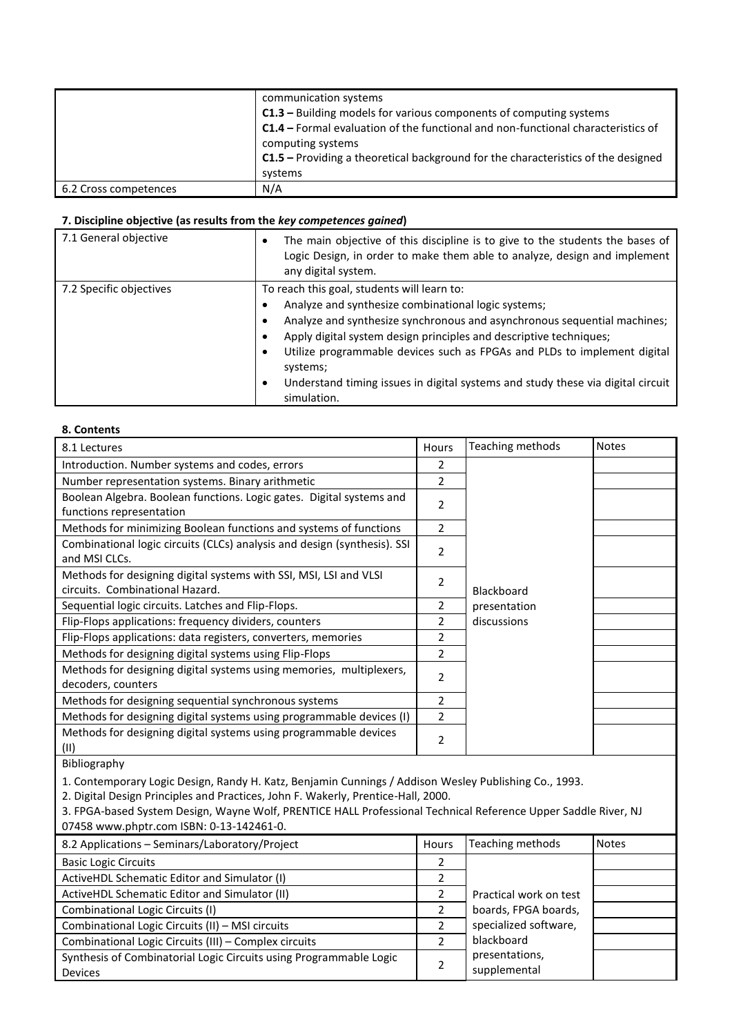|                       | communication systems<br>C1.3 - Building models for various components of computing systems<br><b>C1.4</b> - Formal evaluation of the functional and non-functional characteristics of<br>computing systems<br><b>C1.5</b> – Providing a theoretical background for the characteristics of the designed<br>systems |
|-----------------------|--------------------------------------------------------------------------------------------------------------------------------------------------------------------------------------------------------------------------------------------------------------------------------------------------------------------|
| 6.2 Cross competences | N/A                                                                                                                                                                                                                                                                                                                |

| 7.1 General objective   | The main objective of this discipline is to give to the students the bases of<br>٠<br>Logic Design, in order to make them able to analyze, design and implement<br>any digital system. |
|-------------------------|----------------------------------------------------------------------------------------------------------------------------------------------------------------------------------------|
| 7.2 Specific objectives | To reach this goal, students will learn to:                                                                                                                                            |
|                         | Analyze and synthesize combinational logic systems;                                                                                                                                    |
|                         | Analyze and synthesize synchronous and asynchronous sequential machines;                                                                                                               |
|                         | Apply digital system design principles and descriptive techniques;                                                                                                                     |
|                         | Utilize programmable devices such as FPGAs and PLDs to implement digital<br>systems;                                                                                                   |
|                         | Understand timing issues in digital systems and study these via digital circuit<br>٠<br>simulation.                                                                                    |

#### **8. Contents**

| 8.1 Lectures                                                             | Hours          | Teaching methods | <b>Notes</b> |
|--------------------------------------------------------------------------|----------------|------------------|--------------|
| Introduction. Number systems and codes, errors                           | 2              |                  |              |
| Number representation systems. Binary arithmetic                         | 2              |                  |              |
| Boolean Algebra. Boolean functions. Logic gates. Digital systems and     | 2              |                  |              |
| functions representation                                                 |                |                  |              |
| Methods for minimizing Boolean functions and systems of functions        | 2              |                  |              |
| Combinational logic circuits (CLCs) analysis and design (synthesis). SSI | 2              |                  |              |
| and MSI CLCs.                                                            |                |                  |              |
| Methods for designing digital systems with SSI, MSI, LSI and VLSI        | 2              |                  |              |
| circuits. Combinational Hazard.                                          |                | Blackboard       |              |
| Sequential logic circuits. Latches and Flip-Flops.                       | 2              | presentation     |              |
| Flip-Flops applications: frequency dividers, counters                    | $\overline{2}$ | discussions      |              |
| Flip-Flops applications: data registers, converters, memories            | 2              |                  |              |
| Methods for designing digital systems using Flip-Flops                   | 2              |                  |              |
| Methods for designing digital systems using memories, multiplexers,      | 2              |                  |              |
| decoders, counters                                                       |                |                  |              |
| Methods for designing sequential synchronous systems                     | 2              |                  |              |
| Methods for designing digital systems using programmable devices (I)     | 2              |                  |              |
| Methods for designing digital systems using programmable devices<br>(II) | $\overline{2}$ |                  |              |

Bibliography

1. Contemporary Logic Design, Randy H. Katz, Benjamin Cunnings / Addison Wesley Publishing Co., 1993.

2. Digital Design Principles and Practices, John F. Wakerly, Prentice-Hall, 2000.

3. FPGA-based System Design, Wayne Wolf, PRENTICE HALL Professional Technical Reference Upper Saddle River, NJ 07458 www.phptr.com ISBN: 0-13-142461-0.

| 8.2 Applications - Seminars/Laboratory/Project                     | Hours | Teaching methods       | <b>Notes</b> |
|--------------------------------------------------------------------|-------|------------------------|--------------|
| <b>Basic Logic Circuits</b>                                        |       |                        |              |
| ActiveHDL Schematic Editor and Simulator (I)                       |       |                        |              |
| ActiveHDL Schematic Editor and Simulator (II)                      |       | Practical work on test |              |
| Combinational Logic Circuits (I)                                   |       | boards, FPGA boards,   |              |
| Combinational Logic Circuits (II) - MSI circuits                   |       | specialized software,  |              |
| Combinational Logic Circuits (III) - Complex circuits              |       | blackboard             |              |
| Synthesis of Combinatorial Logic Circuits using Programmable Logic | 2     | presentations,         |              |
| <b>Devices</b>                                                     |       | supplemental           |              |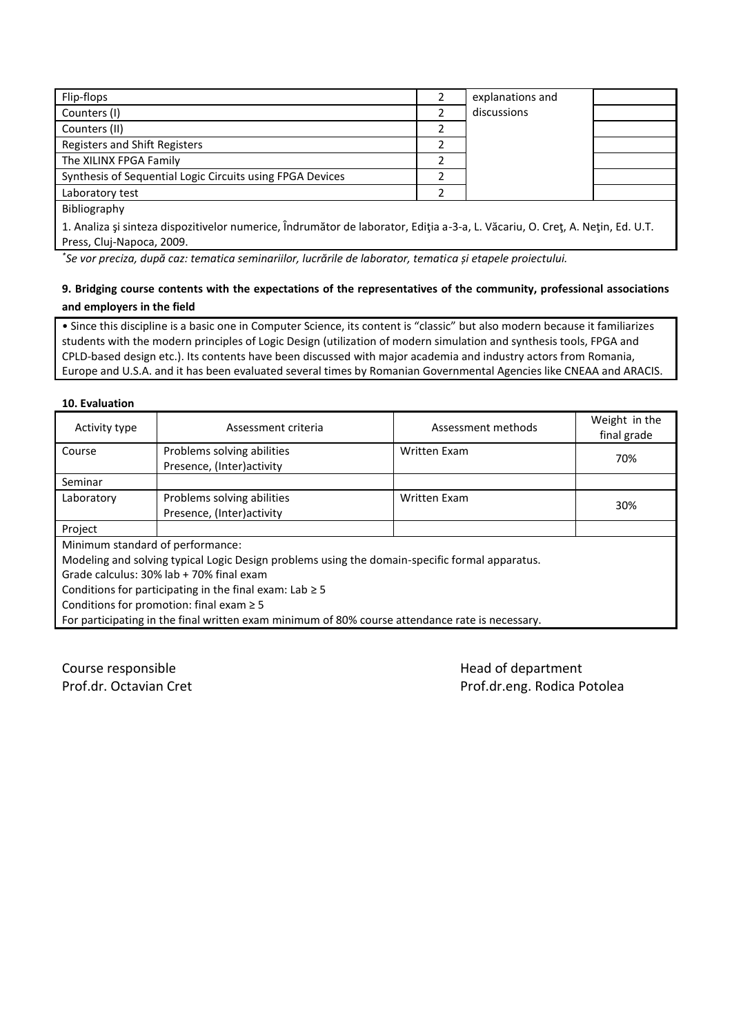| Flip-flops                                                                                                                                                                                                                                            | explanations and |  |
|-------------------------------------------------------------------------------------------------------------------------------------------------------------------------------------------------------------------------------------------------------|------------------|--|
| Counters (I)                                                                                                                                                                                                                                          | discussions      |  |
| Counters (II)                                                                                                                                                                                                                                         |                  |  |
| Registers and Shift Registers                                                                                                                                                                                                                         |                  |  |
| The XILINX FPGA Family                                                                                                                                                                                                                                |                  |  |
| Synthesis of Sequential Logic Circuits using FPGA Devices                                                                                                                                                                                             |                  |  |
| Laboratory test                                                                                                                                                                                                                                       |                  |  |
| Bibliography                                                                                                                                                                                                                                          |                  |  |
| A Applicate of the contract of the contract of $\hat{L}$ decoded the contract $\hat{L}$ and $\hat{L}$ and $\hat{L}$ and $\hat{L}$ and $\hat{L}$ and $\hat{L}$ and $\hat{L}$ and $\hat{L}$ and $\hat{L}$ and $\hat{L}$ and $\hat{L}$ and $\hat{L}$ and |                  |  |

1. Analiza şi sinteza dispozitivelor numerice, Îndrumător de laborator, Ediţia a-3-a, L. Văcariu, O. Creţ, A. Neţin, Ed. U.T. Press, Cluj-Napoca, 2009.

*\* Se vor preciza, după caz: tematica seminariilor, lucrările de laborator, tematica și etapele proiectului.*

### **9. Bridging course contents with the expectations of the representatives of the community, professional associations and employers in the field**

• Since this discipline is a basic one in Computer Science, its content is "classic" but also modern because it familiarizes students with the modern principles of Logic Design (utilization of modern simulation and synthesis tools, FPGA and CPLD-based design etc.). Its contents have been discussed with major academia and industry actors from Romania, Europe and U.S.A. and it has been evaluated several times by Romanian Governmental Agencies like CNEAA and ARACIS.

#### **10. Evaluation**

| Activity type                                 | Assessment criteria                                                                             | Assessment methods  | Weight in the<br>final grade |  |  |  |
|-----------------------------------------------|-------------------------------------------------------------------------------------------------|---------------------|------------------------------|--|--|--|
| Course                                        | Problems solving abilities                                                                      | <b>Written Exam</b> | 70%                          |  |  |  |
|                                               | Presence, (Inter)activity                                                                       |                     |                              |  |  |  |
| Seminar                                       |                                                                                                 |                     |                              |  |  |  |
| Laboratory                                    | Problems solving abilities                                                                      | <b>Written Exam</b> | 30%                          |  |  |  |
|                                               | Presence, (Inter)activity                                                                       |                     |                              |  |  |  |
| Project                                       |                                                                                                 |                     |                              |  |  |  |
| Minimum standard of performance:              |                                                                                                 |                     |                              |  |  |  |
|                                               | Modeling and solving typical Logic Design problems using the domain-specific formal apparatus.  |                     |                              |  |  |  |
|                                               | Grade calculus: 30% lab + 70% final exam                                                        |                     |                              |  |  |  |
|                                               | Conditions for participating in the final exam: Lab $\geq$ 5                                    |                     |                              |  |  |  |
| Conditions for promotion: final exam $\geq$ 5 |                                                                                                 |                     |                              |  |  |  |
|                                               | For participating in the final written exam minimum of 80% course attendance rate is necessary. |                     |                              |  |  |  |
|                                               |                                                                                                 |                     |                              |  |  |  |

Course responsible **Course and Course responsible** and the Head of department

Prof.dr. Octavian Cret **Prof.dr. eng. Rodica Potolea**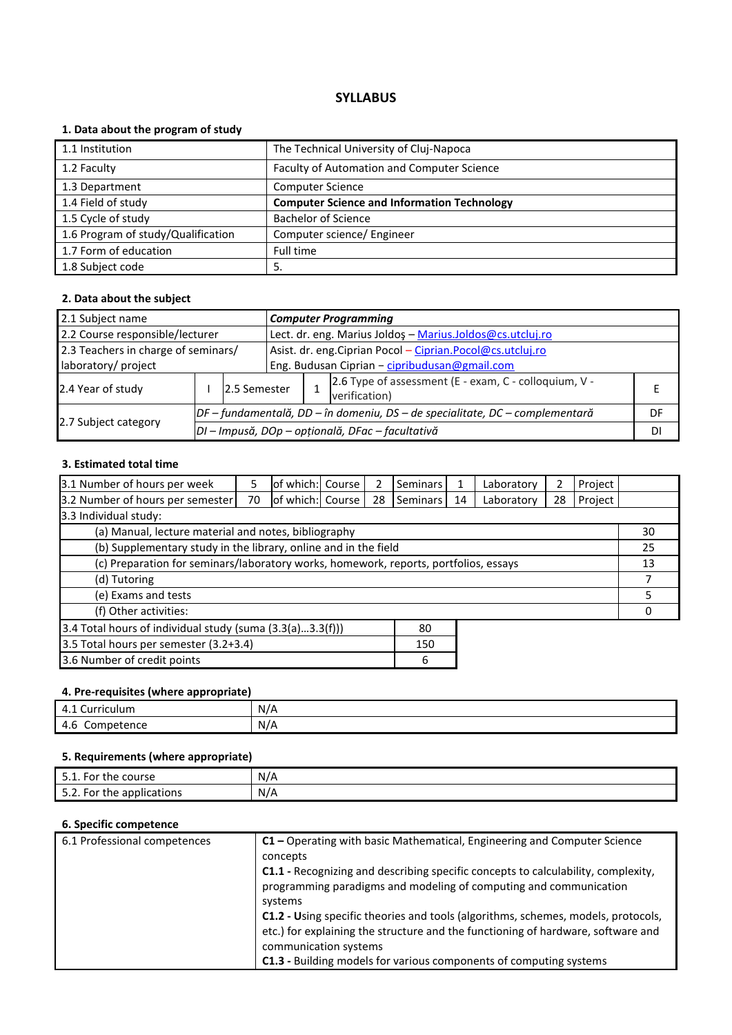# **1. Data about the program of study**

| 1.1 Institution                    | The Technical University of Cluj-Napoca            |
|------------------------------------|----------------------------------------------------|
| 1.2 Faculty                        | Faculty of Automation and Computer Science         |
| 1.3 Department                     | <b>Computer Science</b>                            |
| 1.4 Field of study                 | <b>Computer Science and Information Technology</b> |
| 1.5 Cycle of study                 | <b>Bachelor of Science</b>                         |
| 1.6 Program of study/Qualification | Computer science/ Engineer                         |
| 1.7 Form of education              | Full time                                          |
| 1.8 Subject code                   | -5.                                                |

#### **2. Data about the subject**

| 2.1 Subject name<br><b>Computer Programming</b>                      |  |                                                                              |                                                                        |                                                             |    |  |  |
|----------------------------------------------------------------------|--|------------------------------------------------------------------------------|------------------------------------------------------------------------|-------------------------------------------------------------|----|--|--|
| 2.2 Course responsible/lecturer                                      |  |                                                                              |                                                                        | Lect. dr. eng. Marius Joldos - Marius.Joldos@cs.utcluj.ro   |    |  |  |
| 2.3 Teachers in charge of seminars/                                  |  |                                                                              |                                                                        | Asist. dr. eng. Ciprian Pocol - Ciprian. Pocol@cs.utcluj.ro |    |  |  |
| Eng. Budusan Ciprian - cipribudusan@gmail.com<br>laboratory/ project |  |                                                                              |                                                                        |                                                             |    |  |  |
| 2.4 Year of study                                                    |  | 12.5 Semester                                                                | 2.6 Type of assessment (E - exam, C - colloquium, V -<br>verification) |                                                             |    |  |  |
| 2.7 Subject category                                                 |  | DF – fundamentală, DD – în domeniu, DS – de specialitate, DC – complementară |                                                                        |                                                             | DF |  |  |
|                                                                      |  | DI - Impusă, DOp - opțională, DFac - facultativă                             |                                                                        |                                                             |    |  |  |

# **3. Estimated total time**

| 3.1 Number of hours per week                                                         | 5  | of which: Course |  |    | <b>Seminars</b> | 1  | Laboratory | 2  | Project |    |
|--------------------------------------------------------------------------------------|----|------------------|--|----|-----------------|----|------------|----|---------|----|
| 3.2 Number of hours per semester                                                     | 70 | of which: Course |  | 28 | <b>Seminars</b> | 14 | Laboratory | 28 | Project |    |
| 3.3 Individual study:                                                                |    |                  |  |    |                 |    |            |    |         |    |
| (a) Manual, lecture material and notes, bibliography                                 |    |                  |  |    |                 |    |            | 30 |         |    |
| (b) Supplementary study in the library, online and in the field                      |    |                  |  |    |                 |    |            |    |         | 25 |
| (c) Preparation for seminars/laboratory works, homework, reports, portfolios, essays |    |                  |  |    |                 |    | 13         |    |         |    |
| (d) Tutoring                                                                         |    |                  |  |    |                 |    |            |    |         |    |
| (e) Exams and tests                                                                  |    |                  |  |    |                 |    | 5          |    |         |    |
| (f) Other activities:                                                                |    |                  |  |    |                 |    |            |    |         |    |
| 3.4 Total hours of individual study (suma (3.3(a)3.3(f)))<br>80                      |    |                  |  |    |                 |    |            |    |         |    |
| 3.5 Total hours per semester (3.2+3.4)<br>150                                        |    |                  |  |    |                 |    |            |    |         |    |
| 3.6 Number of credit points                                                          |    |                  |  |    | 6               |    |            |    |         |    |

# **4. Pre-requisites (where appropriate)**

| $\overline{\phantom{a}}$<br>$\overline{ }$<br>Curriculum<br>-4.1 | N/A |
|------------------------------------------------------------------|-----|
| mpetence\<br>4.U<br>ັ<br>- -                                     | N/A |

# **5. Requirements (where appropriate)**

| the course <sup>.</sup><br>For<br><u>.</u> | N/A |
|--------------------------------------------|-----|
| Ε.<br>the applications *<br>For<br><u></u> | N/A |

| 6.1 Professional competences | $C1$ – Operating with basic Mathematical, Engineering and Computer Science                                                                                                                     |
|------------------------------|------------------------------------------------------------------------------------------------------------------------------------------------------------------------------------------------|
|                              | concepts                                                                                                                                                                                       |
|                              | C1.1 - Recognizing and describing specific concepts to calculability, complexity,<br>programming paradigms and modeling of computing and communication<br>systems                              |
|                              | C1.2 - Using specific theories and tools (algorithms, schemes, models, protocols,<br>etc.) for explaining the structure and the functioning of hardware, software and<br>communication systems |
|                              | C1.3 - Building models for various components of computing systems                                                                                                                             |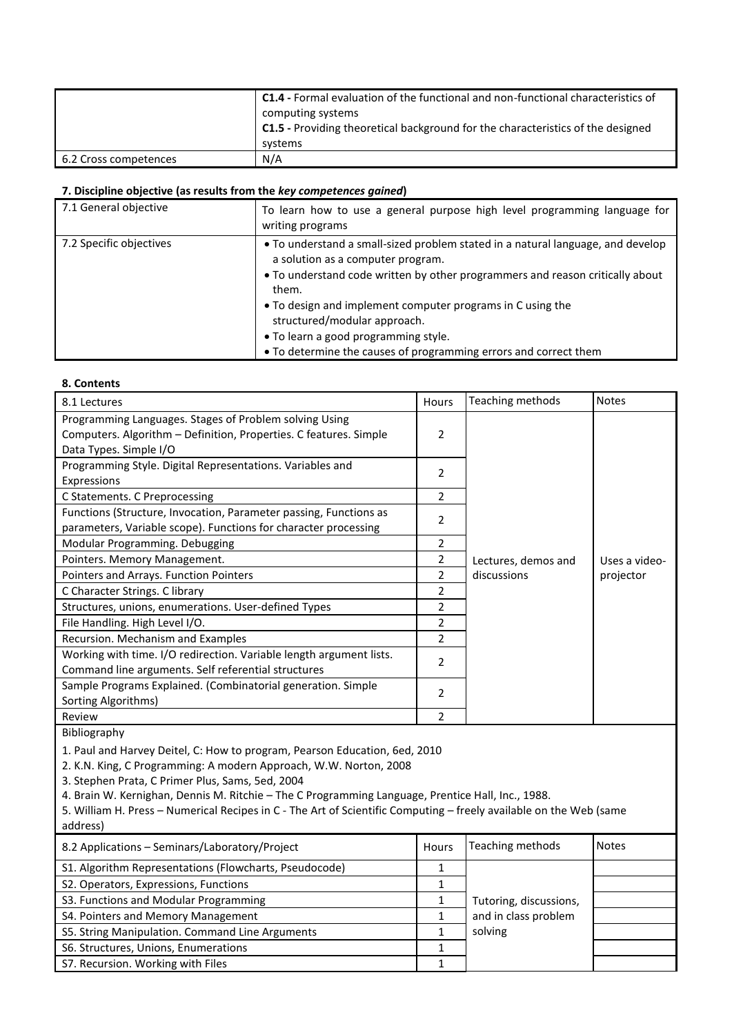|                       | <b>C1.4 - Formal evaluation of the functional and non-functional characteristics of</b><br>computing systems<br>C1.5 - Providing theoretical background for the characteristics of the designed<br>systems |
|-----------------------|------------------------------------------------------------------------------------------------------------------------------------------------------------------------------------------------------------|
| 6.2 Cross competences | N/A                                                                                                                                                                                                        |

| 7.1 General objective   | To learn how to use a general purpose high level programming language for<br>writing programs                                                                                                                                                                                                                                                                                                                            |
|-------------------------|--------------------------------------------------------------------------------------------------------------------------------------------------------------------------------------------------------------------------------------------------------------------------------------------------------------------------------------------------------------------------------------------------------------------------|
| 7.2 Specific objectives | • To understand a small-sized problem stated in a natural language, and develop<br>a solution as a computer program.<br>• To understand code written by other programmers and reason critically about<br>them.<br>• To design and implement computer programs in C using the<br>structured/modular approach.<br>• To learn a good programming style.<br>• To determine the causes of programming errors and correct them |

#### **8. Contents**

| 8.1 Lectures                                                                                                                                          | Hours          | Teaching methods    | <b>Notes</b>  |
|-------------------------------------------------------------------------------------------------------------------------------------------------------|----------------|---------------------|---------------|
| Programming Languages. Stages of Problem solving Using<br>Computers. Algorithm - Definition, Properties. C features. Simple<br>Data Types. Simple I/O | $\overline{2}$ |                     |               |
| Programming Style. Digital Representations. Variables and<br>Expressions                                                                              | 2              |                     |               |
| C Statements. C Preprocessing                                                                                                                         | $\mathfrak{p}$ |                     |               |
| Functions (Structure, Invocation, Parameter passing, Functions as<br>parameters, Variable scope). Functions for character processing                  | 2              |                     |               |
| Modular Programming. Debugging                                                                                                                        | 2              |                     |               |
| Pointers. Memory Management.                                                                                                                          | 2              | Lectures, demos and | Uses a video- |
| Pointers and Arrays. Function Pointers                                                                                                                | 2              | discussions         | projector     |
| C Character Strings. C library                                                                                                                        | 2              |                     |               |
| Structures, unions, enumerations. User-defined Types                                                                                                  | 2              |                     |               |
| File Handling. High Level I/O.                                                                                                                        | $\overline{2}$ |                     |               |
| Recursion. Mechanism and Examples                                                                                                                     | $\mathfrak{p}$ |                     |               |
| Working with time. I/O redirection. Variable length argument lists.<br>Command line arguments. Self referential structures                            | 2              |                     |               |
| Sample Programs Explained. (Combinatorial generation. Simple<br>Sorting Algorithms)                                                                   | 2              |                     |               |
| Review                                                                                                                                                | $\mathfrak{p}$ |                     |               |

Bibliography

1. Paul and Harvey Deitel, C: How to program, Pearson Education, 6ed, 2010

2. K.N. King, C Programming: A modern Approach, W.W. Norton, 2008

3. Stephen Prata, C Primer Plus, Sams, 5ed, 2004

4. Brain W. Kernighan, Dennis M. Ritchie – The C Programming Language, Prentice Hall, Inc., 1988.

5. William H. Press – Numerical Recipes in C - The Art of Scientific Computing – freely available on the Web (same address)

| 8.2 Applications - Seminars/Laboratory/Project         | Hours | Teaching methods       | <b>Notes</b> |
|--------------------------------------------------------|-------|------------------------|--------------|
| S1. Algorithm Representations (Flowcharts, Pseudocode) |       |                        |              |
| S2. Operators, Expressions, Functions                  |       |                        |              |
| S3. Functions and Modular Programming                  |       | Tutoring, discussions, |              |
| S4. Pointers and Memory Management                     |       | and in class problem   |              |
| S5. String Manipulation. Command Line Arguments        |       | solving                |              |
| S6. Structures, Unions, Enumerations                   |       |                        |              |
| S7. Recursion. Working with Files                      |       |                        |              |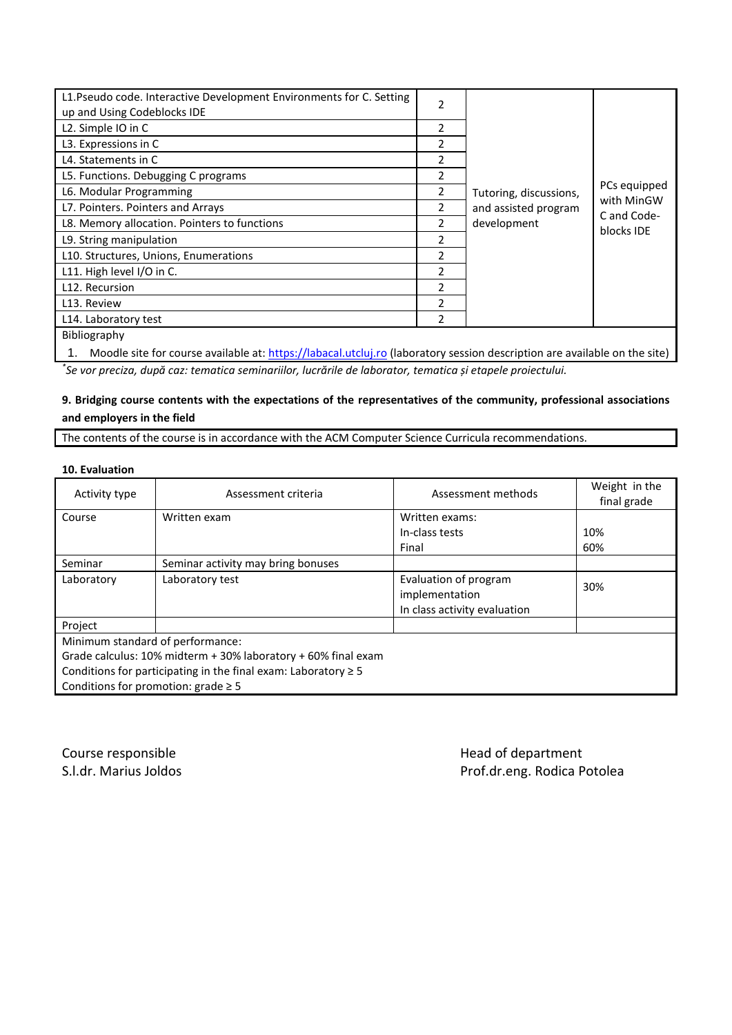| L1. Pseudo code. Interactive Development Environments for C. Setting<br>up and Using Codeblocks IDE                                                                                                                                                                                           | $\overline{2}$           |                                                               |                                                         |
|-----------------------------------------------------------------------------------------------------------------------------------------------------------------------------------------------------------------------------------------------------------------------------------------------|--------------------------|---------------------------------------------------------------|---------------------------------------------------------|
| L2. Simple IO in C                                                                                                                                                                                                                                                                            | 2                        |                                                               |                                                         |
| L3. Expressions in C                                                                                                                                                                                                                                                                          | 2                        |                                                               |                                                         |
| L4. Statements in C                                                                                                                                                                                                                                                                           | 2                        |                                                               |                                                         |
| L5. Functions. Debugging C programs                                                                                                                                                                                                                                                           | $\mathfrak{p}$           |                                                               |                                                         |
| L6. Modular Programming                                                                                                                                                                                                                                                                       |                          | Tutoring, discussions,<br>and assisted program<br>development | PCs equipped<br>with MinGW<br>C and Code-<br>blocks IDE |
| L7. Pointers. Pointers and Arrays                                                                                                                                                                                                                                                             |                          |                                                               |                                                         |
| L8. Memory allocation. Pointers to functions                                                                                                                                                                                                                                                  |                          |                                                               |                                                         |
| L9. String manipulation                                                                                                                                                                                                                                                                       | $\overline{\phantom{a}}$ |                                                               |                                                         |
| L10. Structures, Unions, Enumerations                                                                                                                                                                                                                                                         | 2                        |                                                               |                                                         |
| L11. High level I/O in C.                                                                                                                                                                                                                                                                     | $\overline{\phantom{a}}$ |                                                               |                                                         |
| L12. Recursion                                                                                                                                                                                                                                                                                | $\mathfrak{p}$           |                                                               |                                                         |
| L13. Review                                                                                                                                                                                                                                                                                   | $\overline{\phantom{a}}$ |                                                               |                                                         |
| L14. Laboratory test                                                                                                                                                                                                                                                                          | $\overline{2}$           |                                                               |                                                         |
| Bibliography                                                                                                                                                                                                                                                                                  |                          |                                                               |                                                         |
| $\mathbf{u}$ , and $\mathbf{u}$ , and $\mathbf{u}$ , and $\mathbf{u}$ , and $\mathbf{u}$ , and $\mathbf{u}$ , and $\mathbf{u}$ , and $\mathbf{u}$ , and $\mathbf{u}$ , and $\mathbf{u}$ , and $\mathbf{u}$ , and $\mathbf{u}$ , and $\mathbf{u}$ , and $\mathbf{u}$ , and $\mathbf{u}$ ,<br>. |                          |                                                               |                                                         |

1. Moodle site for course available at[: https://labacal.utcluj.ro](https://labacal.utcluj.ro/) (laboratory session description are available on the site) *\* Se vor preciza, după caz: tematica seminariilor, lucrările de laborator, tematica și etapele proiectului.*

# **9. Bridging course contents with the expectations of the representatives of the community, professional associations and employers in the field**

The contents of the course is in accordance with the ACM Computer Science Curricula recommendations.

#### **10. Evaluation**

| Activity type                                                       | Assessment criteria                | Assessment methods                                                      | Weight in the<br>final grade |  |  |
|---------------------------------------------------------------------|------------------------------------|-------------------------------------------------------------------------|------------------------------|--|--|
| Course                                                              | Written exam                       | Written exams:                                                          |                              |  |  |
|                                                                     |                                    | In-class tests                                                          | 10%                          |  |  |
|                                                                     |                                    | Final                                                                   | 60%                          |  |  |
| Seminar                                                             | Seminar activity may bring bonuses |                                                                         |                              |  |  |
| Laboratory                                                          | Laboratory test                    | Evaluation of program<br>implementation<br>In class activity evaluation | 30%                          |  |  |
| Project                                                             |                                    |                                                                         |                              |  |  |
| Minimum standard of performance:                                    |                                    |                                                                         |                              |  |  |
| Grade calculus: 10% midterm + 30% laboratory + 60% final exam       |                                    |                                                                         |                              |  |  |
| Conditions for participating in the final exam: Laboratory $\geq 5$ |                                    |                                                                         |                              |  |  |
| Conditions for promotion: grade $\geq$ 5                            |                                    |                                                                         |                              |  |  |

Course responsible **Course responsible Head of department** 

S.l.dr. Marius Joldos **Prof.dr.eng. Rodica Potolea**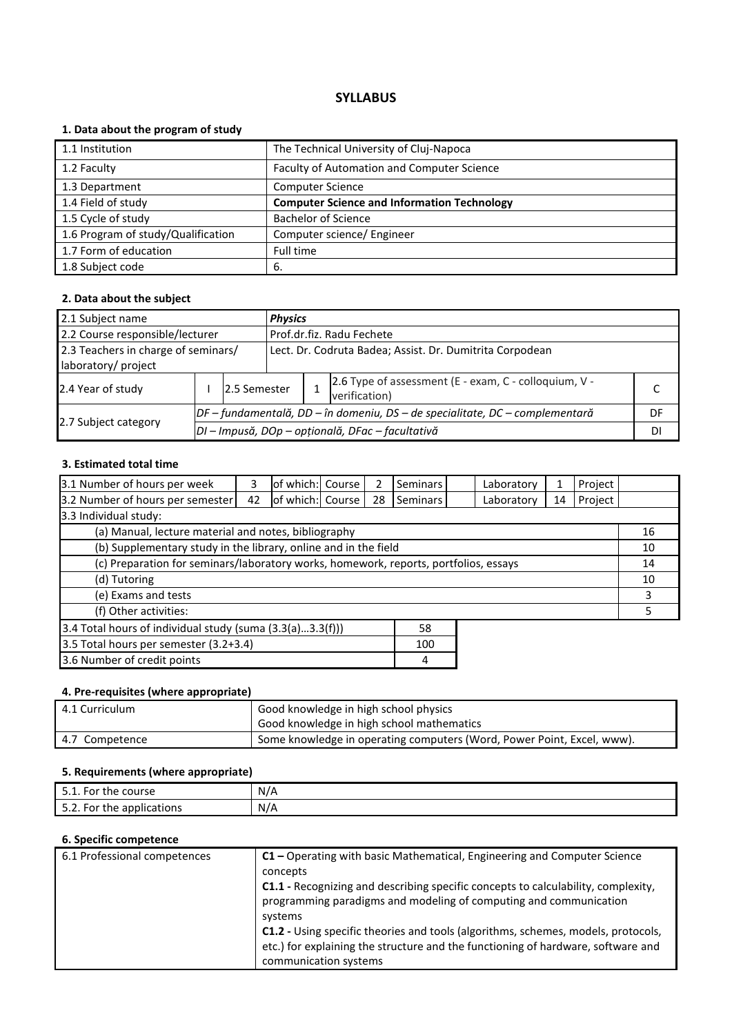# **1. Data about the program of study**

| 1.1 Institution                    | The Technical University of Cluj-Napoca            |
|------------------------------------|----------------------------------------------------|
| 1.2 Faculty                        | Faculty of Automation and Computer Science         |
| 1.3 Department                     | <b>Computer Science</b>                            |
| 1.4 Field of study                 | <b>Computer Science and Information Technology</b> |
| 1.5 Cycle of study                 | <b>Bachelor of Science</b>                         |
| 1.6 Program of study/Qualification | Computer science/ Engineer                         |
| 1.7 Form of education              | Full time                                          |
| 1.8 Subject code                   | 6.                                                 |

#### **2. Data about the subject**

| 2.1 Subject name                    |  |                                                  |                                                                                | <b>Physics</b> |                                                                        |  |  |  |
|-------------------------------------|--|--------------------------------------------------|--------------------------------------------------------------------------------|----------------|------------------------------------------------------------------------|--|--|--|
| 2.2 Course responsible/lecturer     |  |                                                  | Prof.dr.fiz. Radu Fechete                                                      |                |                                                                        |  |  |  |
| 2.3 Teachers in charge of seminars/ |  |                                                  | Lect. Dr. Codruta Badea; Assist. Dr. Dumitrita Corpodean                       |                |                                                                        |  |  |  |
| laboratory/ project                 |  |                                                  |                                                                                |                |                                                                        |  |  |  |
| 2.4 Year of study                   |  | 2.5 Semester                                     |                                                                                |                | 2.6 Type of assessment (E - exam, C - colloquium, V -<br>verification) |  |  |  |
|                                     |  |                                                  | $DF$ – fundamentală, DD – în domeniu, DS – de specialitate, DC – complementară |                |                                                                        |  |  |  |
| 2.7 Subject category                |  | DI - Impusă, DOp - opțională, DFac - facultativă |                                                                                |                |                                                                        |  |  |  |

# **3. Estimated total time**

| 3.1 Number of hours per week                                                         | 3  | of which: Course |  |    | <b>Seminars</b> |  | Laboratory | 1  | Project |  |
|--------------------------------------------------------------------------------------|----|------------------|--|----|-----------------|--|------------|----|---------|--|
| 3.2 Number of hours per semester                                                     | 42 | of which: Course |  | 28 | <b>Seminars</b> |  | Laboratory | 14 | Project |  |
| 3.3 Individual study:                                                                |    |                  |  |    |                 |  |            |    |         |  |
| (a) Manual, lecture material and notes, bibliography                                 |    |                  |  |    |                 |  |            |    | 16      |  |
| (b) Supplementary study in the library, online and in the field                      |    |                  |  |    |                 |  |            | 10 |         |  |
| (c) Preparation for seminars/laboratory works, homework, reports, portfolios, essays |    |                  |  |    |                 |  |            | 14 |         |  |
| (d) Tutoring                                                                         |    |                  |  |    |                 |  |            |    | 10      |  |
| (e) Exams and tests                                                                  |    |                  |  |    |                 |  |            |    | 3       |  |
| (f) Other activities:                                                                |    |                  |  |    |                 |  |            | 5  |         |  |
| 3.4 Total hours of individual study (suma (3.3(a)3.3(f)))<br>58                      |    |                  |  |    |                 |  |            |    |         |  |
| 3.5 Total hours per semester (3.2+3.4)<br>100                                        |    |                  |  |    |                 |  |            |    |         |  |
| 3.6 Number of credit points                                                          |    |                  |  |    | 4               |  |            |    |         |  |

# **4. Pre-requisites (where appropriate)**

| 4.1 Curriculum | Good knowledge in high school physics<br>Good knowledge in high school mathematics |
|----------------|------------------------------------------------------------------------------------|
| 4.7 Competence | Some knowledge in operating computers (Word, Power Point, Excel, www).             |

### **5. Requirements (where appropriate)**

| I E 1<br>$\overline{\phantom{0}}$<br>5.1. For<br>course<br>the | $N/\sim$ |
|----------------------------------------------------------------|----------|
| $\blacksquare$<br><b>For</b><br>applications<br>the<br><b></b> | N/A      |

| 6.1 Professional competences | C1 - Operating with basic Mathematical, Engineering and Computer Science                                                                                      |
|------------------------------|---------------------------------------------------------------------------------------------------------------------------------------------------------------|
|                              | concepts                                                                                                                                                      |
|                              | <b>C1.1</b> - Recognizing and describing specific concepts to calculability, complexity,<br>programming paradigms and modeling of computing and communication |
|                              | systems                                                                                                                                                       |
|                              | C1.2 - Using specific theories and tools (algorithms, schemes, models, protocols,                                                                             |
|                              | etc.) for explaining the structure and the functioning of hardware, software and                                                                              |
|                              | communication systems                                                                                                                                         |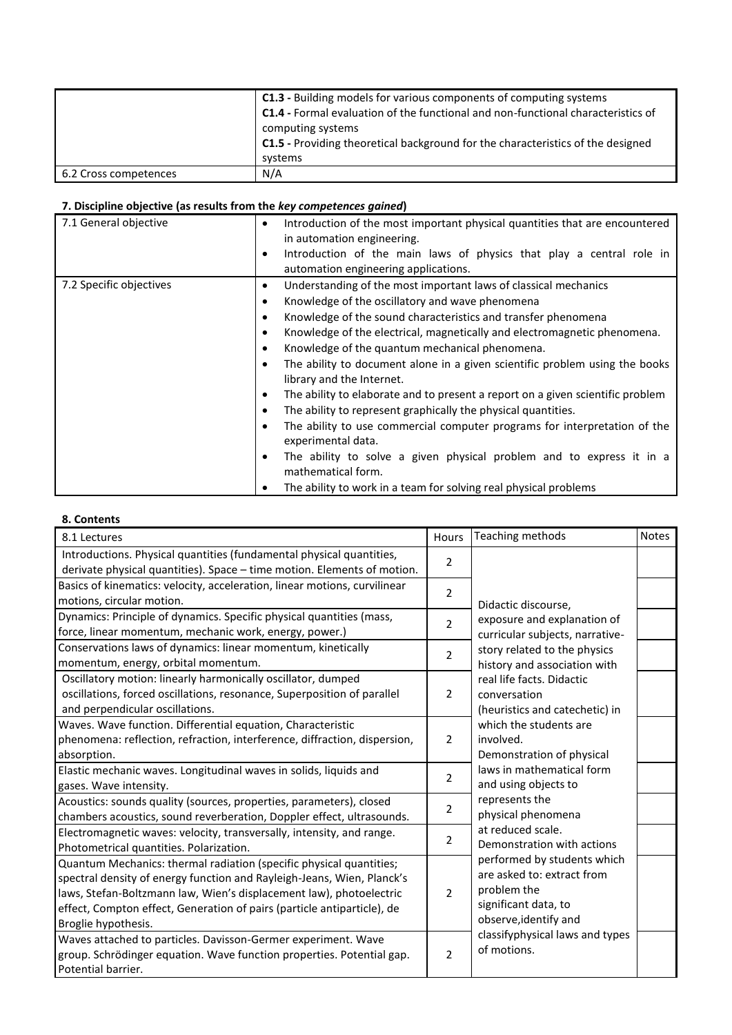|                       | C1.3 - Building models for various components of computing systems<br>C1.4 - Formal evaluation of the functional and non-functional characteristics of<br>computing systems<br>C1.5 - Providing theoretical background for the characteristics of the designed<br>systems |
|-----------------------|---------------------------------------------------------------------------------------------------------------------------------------------------------------------------------------------------------------------------------------------------------------------------|
| 6.2 Cross competences | N/A                                                                                                                                                                                                                                                                       |

| 7.1 General objective   | Introduction of the most important physical quantities that are encountered<br>$\bullet$<br>in automation engineering.<br>Introduction of the main laws of physics that play a central role in<br>٠<br>automation engineering applications.                                                                                                                                                                                                                                                                                                                                                                                                                                                                                                                                                                                                                                                             |
|-------------------------|---------------------------------------------------------------------------------------------------------------------------------------------------------------------------------------------------------------------------------------------------------------------------------------------------------------------------------------------------------------------------------------------------------------------------------------------------------------------------------------------------------------------------------------------------------------------------------------------------------------------------------------------------------------------------------------------------------------------------------------------------------------------------------------------------------------------------------------------------------------------------------------------------------|
| 7.2 Specific objectives | Understanding of the most important laws of classical mechanics<br>٠<br>Knowledge of the oscillatory and wave phenomena<br>٠<br>Knowledge of the sound characteristics and transfer phenomena<br>٠<br>Knowledge of the electrical, magnetically and electromagnetic phenomena.<br>٠<br>Knowledge of the quantum mechanical phenomena.<br>٠<br>The ability to document alone in a given scientific problem using the books<br>٠<br>library and the Internet.<br>The ability to elaborate and to present a report on a given scientific problem<br>٠<br>The ability to represent graphically the physical quantities.<br>٠<br>The ability to use commercial computer programs for interpretation of the<br>٠<br>experimental data.<br>The ability to solve a given physical problem and to express it in a<br>٠<br>mathematical form.<br>The ability to work in a team for solving real physical problems |

# **8. Contents**

| 8.1 Lectures                                                              | <b>Hours</b>   | Teaching methods                | <b>Notes</b> |
|---------------------------------------------------------------------------|----------------|---------------------------------|--------------|
| Introductions. Physical quantities (fundamental physical quantities,      | 2              |                                 |              |
| derivate physical quantities). Space - time motion. Elements of motion.   |                |                                 |              |
| Basics of kinematics: velocity, acceleration, linear motions, curvilinear | 2              |                                 |              |
| motions, circular motion.                                                 |                | Didactic discourse,             |              |
| Dynamics: Principle of dynamics. Specific physical quantities (mass,      | $\overline{2}$ | exposure and explanation of     |              |
| force, linear momentum, mechanic work, energy, power.)                    |                | curricular subjects, narrative- |              |
| Conservations laws of dynamics: linear momentum, kinetically              | $\overline{2}$ | story related to the physics    |              |
| momentum, energy, orbital momentum.                                       |                | history and association with    |              |
| Oscillatory motion: linearly harmonically oscillator, dumped              |                | real life facts. Didactic       |              |
| oscillations, forced oscillations, resonance, Superposition of parallel   | 2              | conversation                    |              |
| and perpendicular oscillations.                                           |                | (heuristics and catechetic) in  |              |
| Waves. Wave function. Differential equation, Characteristic               |                | which the students are          |              |
| phenomena: reflection, refraction, interference, diffraction, dispersion, | 2              | involved.                       |              |
| absorption.                                                               |                | Demonstration of physical       |              |
| Elastic mechanic waves. Longitudinal waves in solids, liquids and         | 2              | laws in mathematical form       |              |
| gases. Wave intensity.                                                    |                | and using objects to            |              |
| Acoustics: sounds quality (sources, properties, parameters), closed       | 2              | represents the                  |              |
| chambers acoustics, sound reverberation, Doppler effect, ultrasounds.     |                | physical phenomena              |              |
| Electromagnetic waves: velocity, transversally, intensity, and range.     | 2              | at reduced scale.               |              |
| Photometrical quantities. Polarization.                                   |                | Demonstration with actions      |              |
| Quantum Mechanics: thermal radiation (specific physical quantities;       |                | performed by students which     |              |
| spectral density of energy function and Rayleigh-Jeans, Wien, Planck's    |                | are asked to: extract from      |              |
| laws, Stefan-Boltzmann law, Wien's displacement law), photoelectric       | $\overline{2}$ | problem the                     |              |
| effect, Compton effect, Generation of pairs (particle antiparticle), de   |                | significant data, to            |              |
| Broglie hypothesis.                                                       |                | observe, identify and           |              |
| Waves attached to particles. Davisson-Germer experiment. Wave             |                | classifyphysical laws and types |              |
| group. Schrödinger equation. Wave function properties. Potential gap.     | $\overline{2}$ | of motions.                     |              |
| Potential barrier.                                                        |                |                                 |              |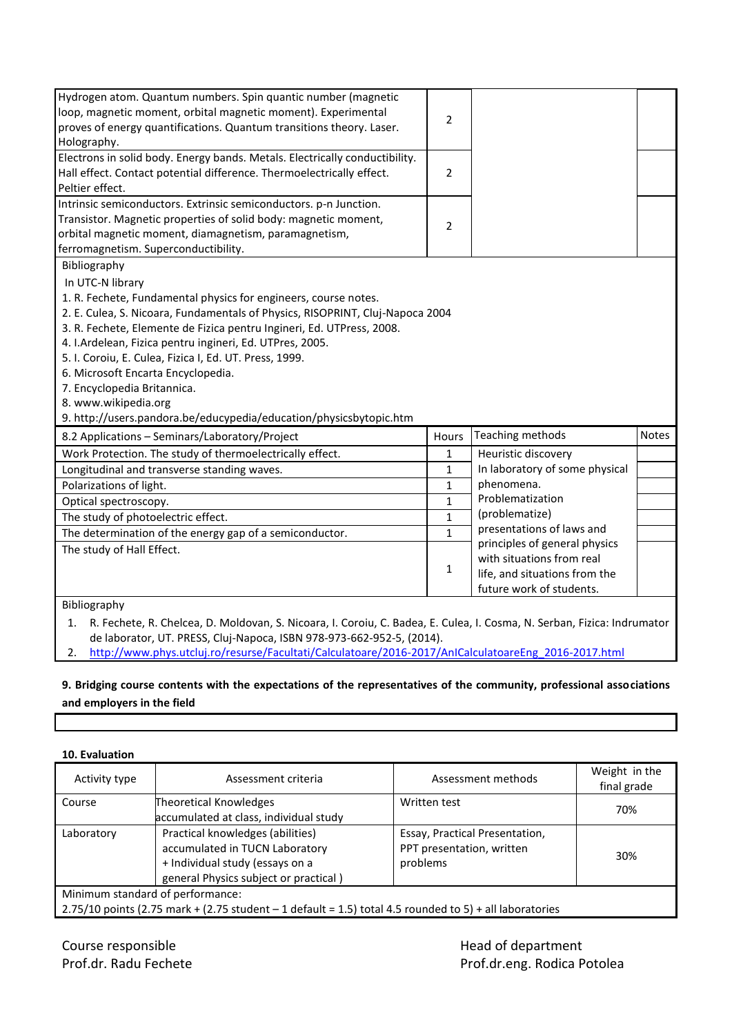| Hydrogen atom. Quantum numbers. Spin quantic number (magnetic<br>loop, magnetic moment, orbital magnetic moment). Experimental<br>proves of energy quantifications. Quantum transitions theory. Laser.<br>Holography.                                                                                                                                                                                                                                                                                                                                  | $\overline{2}$ |                                                                                                                         |              |
|--------------------------------------------------------------------------------------------------------------------------------------------------------------------------------------------------------------------------------------------------------------------------------------------------------------------------------------------------------------------------------------------------------------------------------------------------------------------------------------------------------------------------------------------------------|----------------|-------------------------------------------------------------------------------------------------------------------------|--------------|
| Electrons in solid body. Energy bands. Metals. Electrically conductibility.<br>Hall effect. Contact potential difference. Thermoelectrically effect.<br>Peltier effect.                                                                                                                                                                                                                                                                                                                                                                                | $\overline{2}$ |                                                                                                                         |              |
| Intrinsic semiconductors. Extrinsic semiconductors. p-n Junction.<br>Transistor. Magnetic properties of solid body: magnetic moment,<br>orbital magnetic moment, diamagnetism, paramagnetism,<br>ferromagnetism. Superconductibility.                                                                                                                                                                                                                                                                                                                  | $\overline{2}$ |                                                                                                                         |              |
| Bibliography<br>In UTC-N library<br>1. R. Fechete, Fundamental physics for engineers, course notes.<br>2. E. Culea, S. Nicoara, Fundamentals of Physics, RISOPRINT, Cluj-Napoca 2004<br>3. R. Fechete, Elemente de Fizica pentru Ingineri, Ed. UTPress, 2008.<br>4. I.Ardelean, Fizica pentru ingineri, Ed. UTPres, 2005.<br>5. I. Coroiu, E. Culea, Fizica I, Ed. UT. Press, 1999.<br>6. Microsoft Encarta Encyclopedia.<br>7. Encyclopedia Britannica.<br>8. www.wikipedia.org<br>9. http://users.pandora.be/educypedia/education/physicsbytopic.htm |                |                                                                                                                         |              |
| 8.2 Applications - Seminars/Laboratory/Project                                                                                                                                                                                                                                                                                                                                                                                                                                                                                                         | Hours          | Teaching methods                                                                                                        | <b>Notes</b> |
| Work Protection. The study of thermoelectrically effect.                                                                                                                                                                                                                                                                                                                                                                                                                                                                                               | 1              | Heuristic discovery                                                                                                     |              |
| Longitudinal and transverse standing waves.                                                                                                                                                                                                                                                                                                                                                                                                                                                                                                            | 1              | In laboratory of some physical                                                                                          |              |
| Polarizations of light.                                                                                                                                                                                                                                                                                                                                                                                                                                                                                                                                | $\mathbf{1}$   | phenomena.                                                                                                              |              |
| Optical spectroscopy.                                                                                                                                                                                                                                                                                                                                                                                                                                                                                                                                  | $\mathbf{1}$   | Problematization                                                                                                        |              |
| The study of photoelectric effect.                                                                                                                                                                                                                                                                                                                                                                                                                                                                                                                     | $\mathbf{1}$   | (problematize)                                                                                                          |              |
| The determination of the energy gap of a semiconductor.                                                                                                                                                                                                                                                                                                                                                                                                                                                                                                | $\mathbf{1}$   | presentations of laws and                                                                                               |              |
| The study of Hall Effect.                                                                                                                                                                                                                                                                                                                                                                                                                                                                                                                              | 1              | principles of general physics<br>with situations from real<br>life, and situations from the<br>future work of students. |              |
| Bibliography                                                                                                                                                                                                                                                                                                                                                                                                                                                                                                                                           |                |                                                                                                                         |              |

1. R. Fechete, R. Chelcea, D. Moldovan, S. Nicoara, I. Coroiu, C. Badea, E. Culea, I. Cosma, N. Serban, Fizica: Indrumator de laborator, UT. PRESS, Cluj-Napoca, ISBN 978-973-662-952-5, (2014).

2. [http://www.phys.utcluj.ro/resurse/Facultati/Calculatoare/2016-2017/AnICalculatoareEng\\_2016-2017.html](http://www.phys.utcluj.ro/resurse/Facultati/Calculatoare/2016-2017/AnICalculatoareEng_2016-2017.html)

# **9. Bridging course contents with the expectations of the representatives of the community, professional associations and employers in the field**

| 10. Evaluation                   |                                                                                                                                                |                                                                         |                              |
|----------------------------------|------------------------------------------------------------------------------------------------------------------------------------------------|-------------------------------------------------------------------------|------------------------------|
| Activity type                    | Assessment criteria                                                                                                                            | Assessment methods                                                      | Weight in the<br>final grade |
| Course                           | <b>Theoretical Knowledges</b><br>accumulated at class, individual study                                                                        | Written test                                                            | 70%                          |
| Laboratory                       | Practical knowledges (abilities)<br>accumulated in TUCN Laboratory<br>+ Individual study (essays on a<br>general Physics subject or practical) | Essay, Practical Presentation,<br>PPT presentation, written<br>problems | 30%                          |
| Minimum standard of performance: | 2.75/10 points (2.75 mark + (2.75 student $-1$ default = 1.5) total 4.5 rounded to 5) + all laboratories                                       |                                                                         |                              |

Course responsible **Course responsible Course responsible** and  $\mathbb{R}^n$  and  $\mathbb{R}^n$  and  $\mathbb{R}^n$  and  $\mathbb{R}^n$  and  $\mathbb{R}^n$  and  $\mathbb{R}^n$  and  $\mathbb{R}^n$  and  $\mathbb{R}^n$  and  $\mathbb{R}^n$  and  $\mathbb{R}^n$  are  $\mathbb{R}$ 

Prof.dr. Radu Fechete **Prof.dr. Radu Fechete** Prof.dr.eng. Rodica Potolea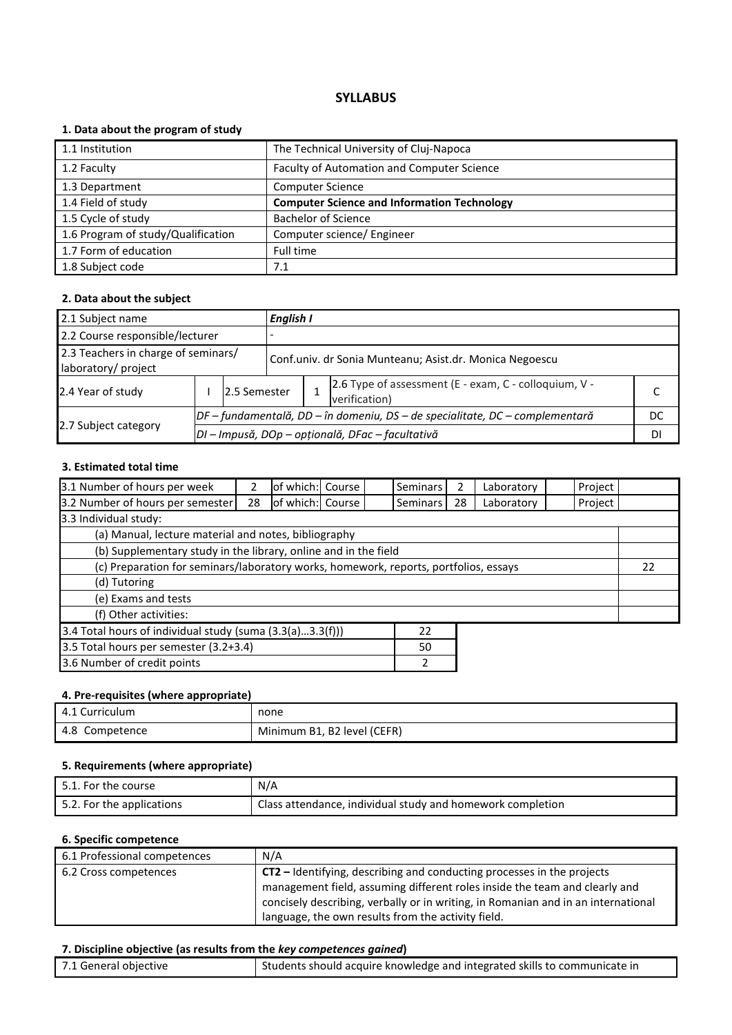# **1. Data about the program of study**

| 1.1 Institution                    | The Technical University of Cluj-Napoca            |
|------------------------------------|----------------------------------------------------|
| 1.2 Faculty                        | Faculty of Automation and Computer Science         |
| 1.3 Department                     | <b>Computer Science</b>                            |
| 1.4 Field of study                 | <b>Computer Science and Information Technology</b> |
| 1.5 Cycle of study                 | <b>Bachelor of Science</b>                         |
| 1.6 Program of study/Qualification | Computer science/ Engineer                         |
| 1.7 Form of education              | Full time                                          |
| 1.8 Subject code                   | 7.1                                                |

#### **2. Data about the subject**

| 2.1 Subject name                                           |                                                  |              |                                                                              | English I                                               |                                                                        |  |  |  |  |  |  |
|------------------------------------------------------------|--------------------------------------------------|--------------|------------------------------------------------------------------------------|---------------------------------------------------------|------------------------------------------------------------------------|--|--|--|--|--|--|
| 2.2 Course responsible/lecturer                            |                                                  |              |                                                                              |                                                         |                                                                        |  |  |  |  |  |  |
| 2.3 Teachers in charge of seminars/<br>laboratory/ project |                                                  |              |                                                                              | Conf.univ. dr Sonia Munteanu; Asist.dr. Monica Negoescu |                                                                        |  |  |  |  |  |  |
| 2.4 Year of study                                          |                                                  | 2.5 Semester |                                                                              |                                                         | 2.6 Type of assessment (E - exam, C - colloquium, V -<br>verification) |  |  |  |  |  |  |
|                                                            |                                                  |              | DF – fundamentală, DD – în domeniu, DS – de specialitate, DC – complementară |                                                         |                                                                        |  |  |  |  |  |  |
| 2.7 Subject category                                       | DI - Impusă, DOp - opțională, DFac - facultativă |              |                                                                              |                                                         |                                                                        |  |  |  |  |  |  |

#### **3. Estimated total time**

| 3.1 Number of hours per week                                                         |    | of which: Course |  |  | <b>Seminars</b> | 2  | Laboratory | Project |  |  |
|--------------------------------------------------------------------------------------|----|------------------|--|--|-----------------|----|------------|---------|--|--|
| 3.2 Number of hours per semester                                                     | 28 | of which: Course |  |  | <b>Seminars</b> | 28 | Laboratory | Project |  |  |
| 3.3 Individual study:                                                                |    |                  |  |  |                 |    |            |         |  |  |
| (a) Manual, lecture material and notes, bibliography                                 |    |                  |  |  |                 |    |            |         |  |  |
| (b) Supplementary study in the library, online and in the field                      |    |                  |  |  |                 |    |            |         |  |  |
| (c) Preparation for seminars/laboratory works, homework, reports, portfolios, essays |    |                  |  |  |                 |    |            | 22      |  |  |
| (d) Tutoring                                                                         |    |                  |  |  |                 |    |            |         |  |  |
| (e) Exams and tests                                                                  |    |                  |  |  |                 |    |            |         |  |  |
| (f) Other activities:                                                                |    |                  |  |  |                 |    |            |         |  |  |
| 3.4 Total hours of individual study (suma (3.3(a)3.3(f)))<br>22                      |    |                  |  |  |                 |    |            |         |  |  |
| 3.5 Total hours per semester (3.2+3.4)<br>50                                         |    |                  |  |  |                 |    |            |         |  |  |
| 3.6 Number of credit points                                                          |    |                  |  |  |                 |    |            |         |  |  |

# **4. Pre-requisites (where appropriate)**

| 4.1 Curriculum    | none                        |
|-------------------|-----------------------------|
| 4.8<br>Competence | Minimum B1, B2 level (CEFR) |

# **5. Requirements (where appropriate)**

| 5.1. For the course       | N/A                                                        |
|---------------------------|------------------------------------------------------------|
| 5.2. For the applications | Class attendance, individual study and homework completion |

#### **6. Specific competence**

| 6.1 Professional competences | N/A                                                                                                                                                                                                                                                                                                    |
|------------------------------|--------------------------------------------------------------------------------------------------------------------------------------------------------------------------------------------------------------------------------------------------------------------------------------------------------|
| 6.2 Cross competences        | <b>CT2</b> – Identifying, describing and conducting processes in the projects<br>management field, assuming different roles inside the team and clearly and<br>concisely describing, verbally or in writing, in Romanian and in an international<br>language, the own results from the activity field. |

#### **7. Discipline objective (as results from the** *key competences gained***)**

| 7.1 General objective | Students should acquire knowledge and integrated skills to communicate in |
|-----------------------|---------------------------------------------------------------------------|
|-----------------------|---------------------------------------------------------------------------|

Π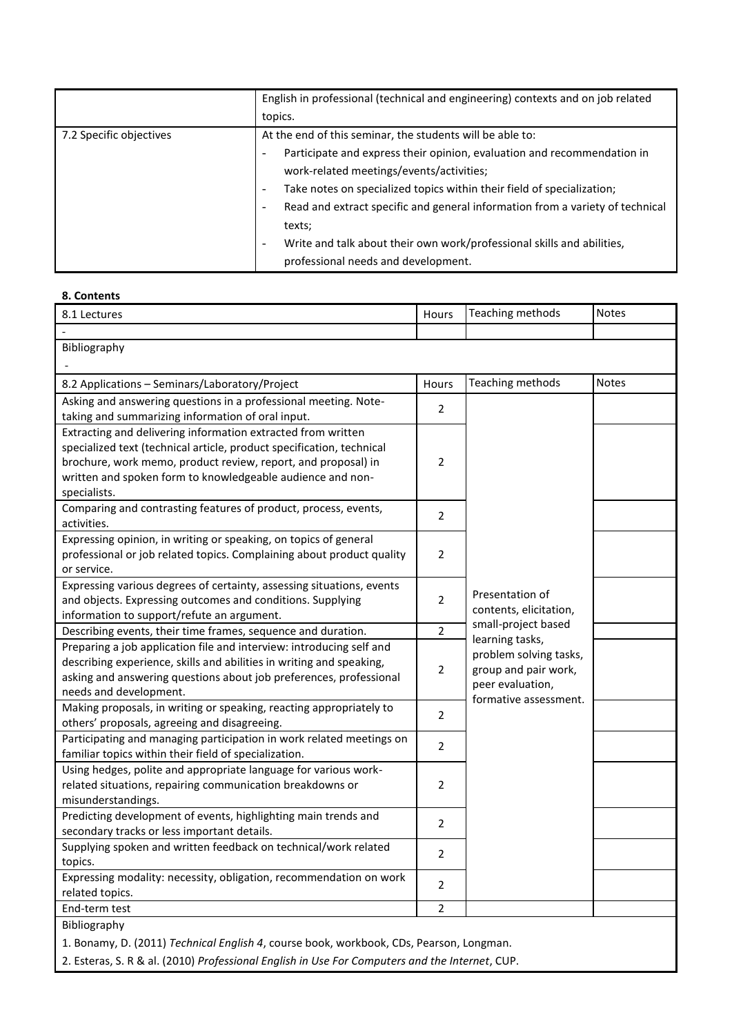|                         | English in professional (technical and engineering) contexts and on job related          |  |
|-------------------------|------------------------------------------------------------------------------------------|--|
|                         | topics.                                                                                  |  |
| 7.2 Specific objectives | At the end of this seminar, the students will be able to:                                |  |
|                         | Participate and express their opinion, evaluation and recommendation in<br>-             |  |
|                         | work-related meetings/events/activities;                                                 |  |
|                         | Take notes on specialized topics within their field of specialization;<br>۰              |  |
|                         | Read and extract specific and general information from a variety of technical<br>-       |  |
|                         | texts;                                                                                   |  |
|                         | Write and talk about their own work/professional skills and abilities,<br>$\overline{a}$ |  |
|                         | professional needs and development.                                                      |  |

#### **8. Contents**

| 8.1 Lectures                                                                                   | Hours          | Teaching methods                         | <b>Notes</b> |  |
|------------------------------------------------------------------------------------------------|----------------|------------------------------------------|--------------|--|
|                                                                                                |                |                                          |              |  |
| Bibliography                                                                                   |                |                                          |              |  |
|                                                                                                |                |                                          |              |  |
| 8.2 Applications - Seminars/Laboratory/Project                                                 | Hours          | Teaching methods                         | <b>Notes</b> |  |
| Asking and answering questions in a professional meeting. Note-                                | $\overline{2}$ |                                          |              |  |
| taking and summarizing information of oral input.                                              |                |                                          |              |  |
| Extracting and delivering information extracted from written                                   |                |                                          |              |  |
| specialized text (technical article, product specification, technical                          |                |                                          |              |  |
| brochure, work memo, product review, report, and proposal) in                                  | 2              |                                          |              |  |
| written and spoken form to knowledgeable audience and non-                                     |                |                                          |              |  |
| specialists.                                                                                   |                |                                          |              |  |
| Comparing and contrasting features of product, process, events,                                | 2              |                                          |              |  |
| activities.                                                                                    |                |                                          |              |  |
| Expressing opinion, in writing or speaking, on topics of general                               |                |                                          |              |  |
| professional or job related topics. Complaining about product quality                          | 2              |                                          |              |  |
| or service.                                                                                    |                |                                          |              |  |
| Expressing various degrees of certainty, assessing situations, events                          |                |                                          |              |  |
| and objects. Expressing outcomes and conditions. Supplying                                     | 2              | Presentation of                          |              |  |
| information to support/refute an argument.                                                     |                | contents, elicitation,                   |              |  |
| Describing events, their time frames, sequence and duration.                                   | 2              | small-project based                      |              |  |
| Preparing a job application file and interview: introducing self and                           |                | learning tasks,                          |              |  |
| describing experience, skills and abilities in writing and speaking,                           |                | problem solving tasks,                   |              |  |
| asking and answering questions about job preferences, professional                             | 2              | group and pair work,<br>peer evaluation, |              |  |
| needs and development.                                                                         |                |                                          |              |  |
| Making proposals, in writing or speaking, reacting appropriately to                            |                | formative assessment.                    |              |  |
| others' proposals, agreeing and disagreeing.                                                   | 2              |                                          |              |  |
| Participating and managing participation in work related meetings on                           |                |                                          |              |  |
| familiar topics within their field of specialization.                                          | 2              |                                          |              |  |
| Using hedges, polite and appropriate language for various work-                                |                |                                          |              |  |
| related situations, repairing communication breakdowns or                                      | 2              |                                          |              |  |
| misunderstandings.                                                                             |                |                                          |              |  |
| Predicting development of events, highlighting main trends and                                 |                |                                          |              |  |
| secondary tracks or less important details.                                                    | 2              |                                          |              |  |
| Supplying spoken and written feedback on technical/work related                                |                |                                          |              |  |
| topics.                                                                                        | 2              |                                          |              |  |
| Expressing modality: necessity, obligation, recommendation on work                             |                |                                          |              |  |
| related topics.                                                                                | 2              |                                          |              |  |
| End-term test                                                                                  | 2              |                                          |              |  |
| Bibliography                                                                                   |                |                                          |              |  |
| 1. Bonamy, D. (2011) Technical English 4, course book, workbook, CDs, Pearson, Longman.        |                |                                          |              |  |
| 2. Esteras, S. R & al. (2010) Professional English in Use For Computers and the Internet, CUP. |                |                                          |              |  |
|                                                                                                |                |                                          |              |  |